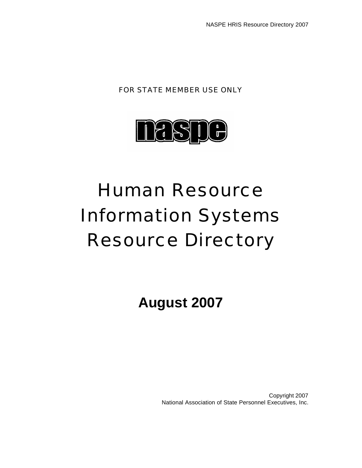FOR STATE MEMBER USE ONLY



# Human Resource Information Systems Resource Directory

**August 2007**

Copyright 2007 National Association of State Personnel Executives, Inc.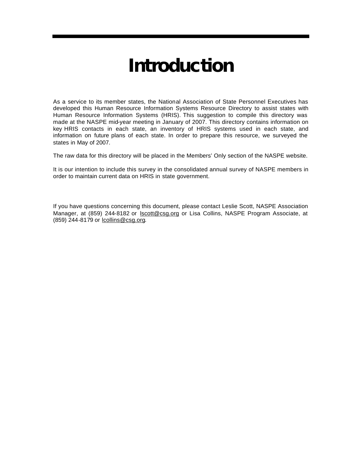## **Introduction**

As a service to its member states, the National Association of State Personnel Executives has developed this Human Resource Information Systems Resource Directory to assist states with Human Resource Information Systems (HRIS). This suggestion to compile this directory was made at the NASPE mid-year meeting in January of 2007. This directory contains information on key HRIS contacts in each state, an inventory of HRIS systems used in each state, and information on future plans of each state. In order to prepare this resource, we surveyed the states in May of 2007.

The raw data for this directory will be placed in the Members' Only section of the NASPE website.

It is our intention to include this survey in the consolidated annual survey of NASPE members in order to maintain current data on HRIS in state government.

If you have questions concerning this document, please contact Leslie Scott, NASPE Association Manager, at (859) 244-8182 or lscott@csg.org or Lisa Collins, NASPE Program Associate, at (859) 244-8179 or lcollins@csg.org.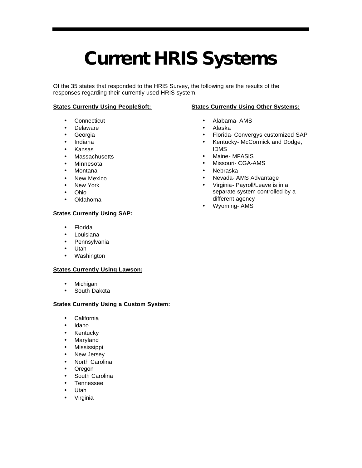# **Current HRIS Systems**

Of the 35 states that responded to the HRIS Survey, the following are the results of the responses regarding their currently used HRIS system.

#### **States Currently Using PeopleSoft:**

- Connecticut
- Delaware
- Georgia
- Indiana
- Kansas
- Massachusetts
- Minnesota
- Montana
- New Mexico
- New York
- Ohio
- Oklahoma

#### **States Currently Using SAP:**

- Florida
- Louisiana
- Pennsylvania
- Utah
- Washington

#### **States Currently Using Lawson:**

- Michigan
- South Dakota

#### **States Currently Using a Custom System:**

- California
- Idaho
- Kentucky
- Maryland
- Mississippi
- New Jersey
- North Carolina
- Oregon
- South Carolina
- Tennessee
- Utah
- **Virginia**

#### **States Currently Using Other Systems:**

- Alabama- AMS
- Alaska
- Florida- Convergys customized SAP
- Kentucky- McCormick and Dodge, IDMS
- Maine- MFASIS
- Missouri- CGA-AMS
- Nebraska
- Nevada- AMS Advantage
- Virginia- Payroll/Leave is in a separate system controlled by a different agency
- Wyoming- AMS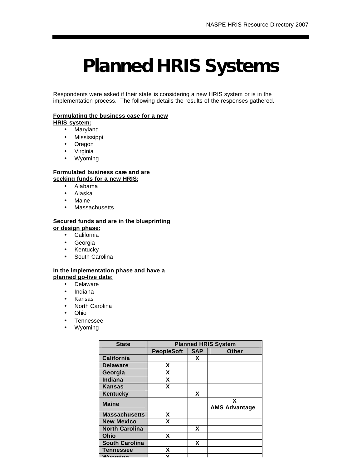# **Planned HRIS Systems**

Respondents were asked if their state is considering a new HRIS system or is in the implementation process. The following details the results of the responses gathered.

#### **Formulating the business case for a new**

#### **HRIS system:**

- Maryland
- Mississippi
- Oregon
- Virginia
- Wyoming

#### **Formulated business case and are seeking funds for a new HRIS:**

- Alabama
- Alaska
- Maine
- Massachusetts

#### **Secured funds and are in the blueprinting or design phase:**

- California
- Georgia
- Kentucky
- South Carolina

#### **In the implementation phase and have a**

- **planned go-live date:**
	- Delaware
	- Indiana
	- Kansas
	- North Carolina
	- Ohio
	- Tennessee
	- Wyoming

| <b>State</b>          | <b>Planned HRIS System</b> |            |                           |  |  |  |
|-----------------------|----------------------------|------------|---------------------------|--|--|--|
|                       | <b>PeopleSoft</b>          | <b>SAP</b> | <b>Other</b>              |  |  |  |
| <b>California</b>     |                            | X          |                           |  |  |  |
| <b>Delaware</b>       | X                          |            |                           |  |  |  |
| Georgia               | X                          |            |                           |  |  |  |
| <b>Indiana</b>        | X                          |            |                           |  |  |  |
| <b>Kansas</b>         | χ                          |            |                           |  |  |  |
| <b>Kentucky</b>       |                            | X          |                           |  |  |  |
| <b>Maine</b>          |                            |            | X<br><b>AMS Advantage</b> |  |  |  |
| <b>Massachusetts</b>  | X                          |            |                           |  |  |  |
| <b>New Mexico</b>     | x                          |            |                           |  |  |  |
| <b>North Carolina</b> |                            | X          |                           |  |  |  |
| Ohio                  | X                          |            |                           |  |  |  |
| <b>South Carolina</b> |                            | X          |                           |  |  |  |
| <b>Tennessee</b>      | x                          |            |                           |  |  |  |
| Mn                    | v                          |            |                           |  |  |  |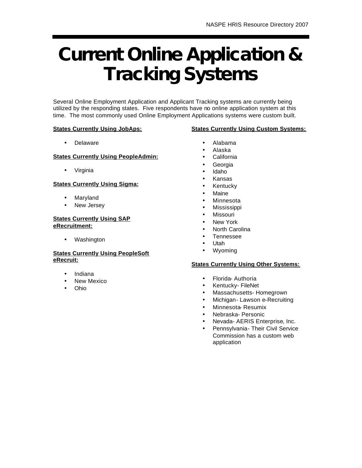# **Current Online Application & Tracking Systems**

Several Online Employment Application and Applicant Tracking systems are currently being utilized by the responding states. Five respondents have no online application system at this time. The most commonly used Online Employment Applications systems were custom built.

#### **States Currently Using JobAps:**

#### **States Currently Using Custom Systems:**

• Delaware

#### **States Currently Using PeopleAdmin:**

• Virginia

#### **States Currently Using Sigma:**

- Maryland
- New Jersey

#### **States Currently Using SAP eRecruitment:**

• Washington

#### **States Currently Using PeopleSoft eRecruit:**

- Indiana
- New Mexico
- Ohio
- Alabama
- Alaska
- **California**
- **Georgia**
- Idaho
- Kansas
- Kentucky
- **Maine**
- **Minnesota**
- Mississippi
- **Missouri**
- **New York**
- North Carolina
- Tennessee
- Utah
- Wyoming

#### **States Currently Using Other Systems:**

- Florida- Authoria
- Kentucky- FileNet
- Massachusetts- Homegrown
- Michigan- Lawson e-Recruiting
- Minnesota- Resumix
- Nebraska- Personic
- Nevada- AERIS Enterprise, Inc.
- Pennsylvania Their Civil Service Commission has a custom web application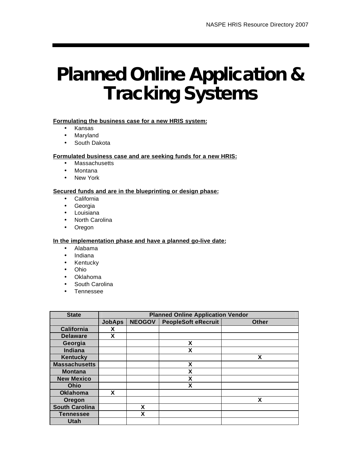## **Planned Online Application & Tracking Systems**

#### **Formulating the business case for a new HRIS system:**

- Kansas
- Maryland
- South Dakota

#### **Formulated business case and are seeking funds for a new HRIS:**

- Massachusetts
- Montana
- New York

#### **Secured funds and are in the blueprinting or design phase:**

- California
- Georgia
- Louisiana
- North Carolina
- Oregon

**In the implementation phase and have a planned go-live date:**

- Alabama
- Indiana
- Kentucky
- Ohio
- Oklahoma
- South Carolina
- Tennessee

| <b>State</b>          | <b>Planned Online Application Vendor</b> |               |                            |              |  |  |  |
|-----------------------|------------------------------------------|---------------|----------------------------|--------------|--|--|--|
|                       | <b>JobAps</b>                            | <b>NEOGOV</b> | <b>PeopleSoft eRecruit</b> | <b>Other</b> |  |  |  |
| <b>California</b>     | X                                        |               |                            |              |  |  |  |
| <b>Delaware</b>       | X                                        |               |                            |              |  |  |  |
| Georgia               |                                          |               | X                          |              |  |  |  |
| Indiana               |                                          |               | X                          |              |  |  |  |
| <b>Kentucky</b>       |                                          |               |                            | X            |  |  |  |
| <b>Massachusetts</b>  |                                          |               | X                          |              |  |  |  |
| <b>Montana</b>        |                                          |               | X                          |              |  |  |  |
| <b>New Mexico</b>     |                                          |               | χ                          |              |  |  |  |
| Ohio                  |                                          |               | X                          |              |  |  |  |
| <b>Oklahoma</b>       | X                                        |               |                            |              |  |  |  |
| Oregon                |                                          |               |                            | x            |  |  |  |
| <b>South Carolina</b> |                                          | X             |                            |              |  |  |  |
| <b>Tennessee</b>      |                                          | X             |                            |              |  |  |  |
| <b>Utah</b>           |                                          |               |                            |              |  |  |  |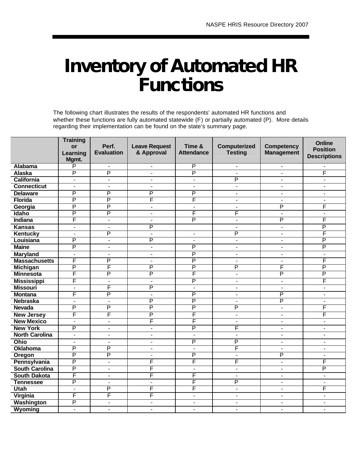### **Inventory of Automated HR Functions**

The following chart illustrates the results of the respondents' automated HR functions and whether these functions are fully automated statewide (F) or partially automated (P). More details regarding their implementation can be found on the state's summary page.

|                       | <b>Training</b><br><b>or</b><br>Learning<br>Mgmt. | Perf.<br><b>Evaluation</b> | <b>Leave Request</b><br>& Approval | Time &<br><b>Attendance</b> | Computerized<br><b>Testing</b> | <b>Competency</b><br><b>Management</b> | Online<br><b>Position</b><br><b>Descriptions</b> |
|-----------------------|---------------------------------------------------|----------------------------|------------------------------------|-----------------------------|--------------------------------|----------------------------------------|--------------------------------------------------|
| <b>Alabama</b>        | P                                                 | $\blacksquare$             |                                    | $\overline{P}$              | $\blacksquare$                 | $\overline{a}$                         |                                                  |
| <b>Alaska</b>         | P                                                 | P                          | $\overline{a}$                     | $\overline{P}$              | $\overline{a}$                 | $\blacksquare$                         | F                                                |
| <b>California</b>     | $\blacksquare$                                    | $\blacksquare$             | $\overline{\phantom{a}}$           | $\blacksquare$              | P                              | $\overline{\phantom{a}}$               | $\blacksquare$                                   |
| <b>Connecticut</b>    | $\overline{\phantom{a}}$                          | $\blacksquare$             |                                    | $\blacksquare$              | $\overline{\phantom{a}}$       | $\overline{a}$                         | $\blacksquare$                                   |
| <b>Delaware</b>       | P                                                 | P                          | P                                  | P                           | $\overline{a}$                 | $\overline{a}$                         | $\blacksquare$                                   |
| <b>Florida</b>        | P                                                 | P                          | F                                  | F                           | L,                             | L,                                     |                                                  |
| Georgia               | P                                                 | P                          | $\blacksquare$                     | $\overline{a}$              | $\blacksquare$                 | P                                      | F                                                |
| <b>Idaho</b>          | P                                                 | P                          | $\overline{\phantom{a}}$           | F                           | F                              | $\blacksquare$                         | $\blacksquare$                                   |
| <b>Indiana</b>        | F                                                 | $\blacksquare$             | $\blacksquare$                     | $\overline{\mathsf{P}}$     | $\blacksquare$                 | P                                      | F                                                |
| <b>Kansas</b>         | $\overline{\phantom{a}}$                          | $\blacksquare$             | P                                  |                             | $\overline{\phantom{a}}$       | $\blacksquare$                         | P                                                |
| <b>Kentucky</b>       | $\overline{\phantom{a}}$                          | P                          | $\blacksquare$                     | $\blacksquare$              | P                              | $\overline{\phantom{a}}$               | F                                                |
| Louisiana             | P                                                 | $\blacksquare$             | P                                  | $\blacksquare$              | $\frac{1}{2}$                  | $\blacksquare$                         | P                                                |
| <b>Maine</b>          | P                                                 | $\blacksquare$             | $\overline{a}$                     | $\overline{P}$              | $\blacksquare$                 | $\blacksquare$                         | P                                                |
| <b>Maryland</b>       | $\overline{a}$                                    | $\blacksquare$             | $\overline{a}$                     | $\overline{P}$              | $\blacksquare$                 | $\blacksquare$                         | $\overline{a}$                                   |
| <b>Massachusetts</b>  | F                                                 | P                          | $\overline{a}$                     | $\overline{\mathsf{P}}$     | $\overline{a}$                 | $\overline{a}$                         | F                                                |
| <b>Michigan</b>       | P                                                 | F                          | P                                  | P                           | P                              | F                                      | P                                                |
| <b>Minnesota</b>      | F                                                 | P                          | P                                  | F                           | $\overline{\phantom{a}}$       | P                                      | P                                                |
| <b>Mississippi</b>    | F                                                 | $\blacksquare$             | $\blacksquare$                     | P                           | $\overline{a}$                 | L,                                     | F                                                |
| <b>Missouri</b>       | $\overline{\phantom{a}}$                          | F                          | P                                  | $\blacksquare$              | $\blacksquare$                 | $\blacksquare$                         | $\blacksquare$                                   |
| <b>Montana</b>        | F                                                 | P                          | $\overline{\phantom{a}}$           | P                           | $\blacksquare$                 | P                                      | $\overline{\phantom{a}}$                         |
| <b>Nebraska</b>       | $\overline{a}$                                    | $\blacksquare$             | P                                  | $\overline{P}$              | $\blacksquare$                 | P                                      | $\blacksquare$                                   |
| <b>Nevada</b>         | P                                                 | P                          | P                                  | P                           | P                              | $\blacksquare$                         | F                                                |
| <b>New Jersey</b>     | F                                                 | F                          | P                                  | F                           | $\overline{\phantom{a}}$       | $\overline{\phantom{a}}$               | F                                                |
| <b>New Mexico</b>     | $\blacksquare$                                    | $\blacksquare$             | F                                  | F                           | $\blacksquare$                 | $\overline{\phantom{a}}$               | $\blacksquare$                                   |
| <b>New York</b>       | P                                                 | $\blacksquare$             | $\overline{a}$                     | $\overline{P}$              | F                              | $\blacksquare$                         | $\blacksquare$                                   |
| <b>North Carolina</b> | $\overline{\phantom{0}}$                          | $\overline{\phantom{0}}$   | $\overline{a}$                     | $\overline{a}$              | $\overline{a}$                 | $\blacksquare$                         | $\overline{a}$                                   |
| Ohio                  | $\overline{a}$                                    | $\overline{a}$             | $\overline{\phantom{a}}$           | P                           | P                              | $\overline{a}$                         | $\overline{\phantom{a}}$                         |
| <b>Oklahoma</b>       | P                                                 | P                          | $\sim$                             | $\mathbf{r}$                | F                              | $\overline{\phantom{a}}$               | $\blacksquare$                                   |
| Oregon                | P                                                 | P                          |                                    | P                           | $\overline{\phantom{a}}$       | P                                      |                                                  |
| Pennsylvania          | P                                                 | $\overline{a}$             | F                                  | F                           | F                              | L,                                     | F                                                |
| <b>South Carolina</b> | P                                                 | $\blacksquare$             | F                                  | $\blacksquare$              | $\overline{\phantom{a}}$       | $\blacksquare$                         | P                                                |
| <b>South Dakota</b>   | F                                                 | $\blacksquare$             | F                                  | F                           | $\overline{\phantom{a}}$       | $\overline{a}$                         | $\blacksquare$                                   |
| <b>Tennessee</b>      | P                                                 | $\overline{a}$             | $\overline{a}$                     | F                           | P                              | $\blacksquare$                         | $\overline{a}$                                   |
| Utah                  | $\overline{\phantom{a}}$                          | P                          | F                                  | F                           | $\overline{\phantom{a}}$       | $\blacksquare$                         | F                                                |
| <b>Virginia</b>       | F                                                 | F                          | F                                  | $\overline{\phantom{a}}$    |                                |                                        |                                                  |
| <b>Washington</b>     | P                                                 | $\blacksquare$             | $\overline{\phantom{a}}$           | $\blacksquare$              | $\blacksquare$                 | $\blacksquare$                         |                                                  |
| Wyoming               | $\overline{\phantom{0}}$                          | $\overline{a}$             | $\overline{\phantom{a}}$           | $\overline{\phantom{a}}$    | $\overline{a}$                 | $\blacksquare$                         | $\overline{\phantom{a}}$                         |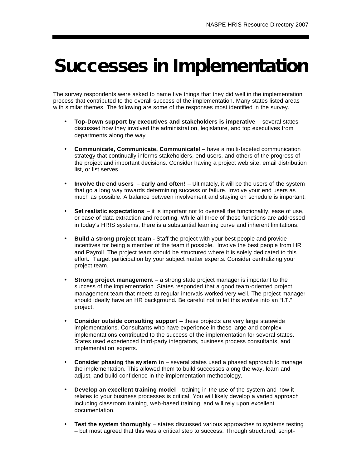## **Successes in Implementation**

The survey respondents were asked to name five things that they did well in the implementation process that contributed to the overall success of the implementation. Many states listed areas with similar themes. The following are some of the responses most identified in the survey.

- **Top-Down support by executives and stakeholders is imperative** several states discussed how they involved the administration, legislature, and top executives from departments along the way.
- **Communicate, Communicate, Communicate!** have a multi-faceted communication strategy that continually informs stakeholders, end users, and others of the progress of the project and important decisions. Consider having a project web site, email distribution list, or list serves.
- **Involve the end users early and often!** Ultimately, it will be the users of the system that go a long way towards determining success or failure. Involve your end users as much as possible. A balance between involvement and staying on schedule is important.
- **Set realistic expectations**  it is important not to oversell the functionality, ease of use, or ease of data extraction and reporting. While all three of these functions are addressed in today's HRIS systems, there is a substantial learning curve and inherent limitations.
- **Build a strong project team -** Staff the project with your best people and provide incentives for being a member of the team if possible. Involve the best people from HR and Payroll. The project team should be structured where it is solely dedicated to this effort. Target participation by your subject matter experts. Consider centralizing your project team.
- **Strong project management –** a strong state project manager is important to the success of the implementation. States responded that a good team-oriented project management team that meets at regular intervals worked very well. The project manager should ideally have an HR background. Be careful not to let this evolve into an "I.T." project.
- **Consider outside consulting support** these projects are very large statewide implementations. Consultants who have experience in these large and complex implementations contributed to the success of the implementation for several states. States used experienced third-party integrators, business process consultants, and implementation experts.
- **Consider phasing the sy stem in**  several states used a phased approach to manage the implementation. This allowed them to build successes along the way, learn and adjust, and build confidence in the implementation methodology.
- **Develop an excellent training model** training in the use of the system and how it relates to your business processes is critical. You will likely develop a varied approach including classroom training, web-based training, and will rely upon excellent documentation.
- **Test the system thoroughly** states discussed various approaches to systems testing – but most agreed that this was a critical step to success. Through structured, script-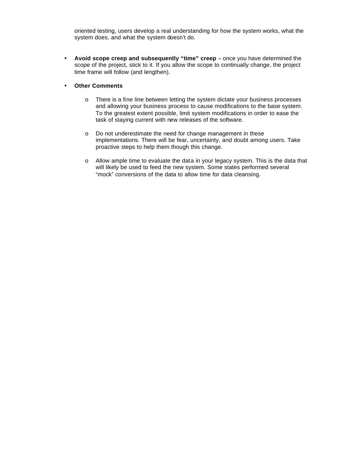oriented testing, users develop a real understanding for how the system works, what the system does, and what the system doesn't do.

- **Avoid scope creep and subsequently "time" creep**  once you have determined the scope of the project, stick to it. If you allow the scope to continually change, the project time frame will follow (and lengthen).
- **Other Comments**
	- o There is a fine line between letting the system dictate your business processes and allowing your business process to cause modifications to the base system. To the greatest extent possible, limit system modifications in order to ease the task of staying current with new releases of the software.
	- o Do not underestimate the need for change management in these implementations. There will be fear, uncertainty, and doubt among users. Take proactive steps to help them though this change.
	- $\circ$  Allow ample time to evaluate the data in your legacy system. This is the data that will likely be used to feed the new system. Some states performed several "mock" conversions of the data to allow time for data cleansing.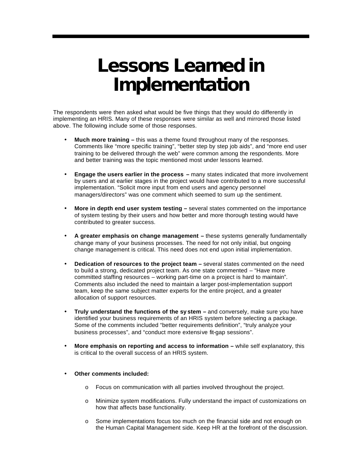### **Lessons Learned in Implementation**

The respondents were then asked what would be five things that they would do differently in implementing an HRIS. Many of these responses were similar as well and mirrored those listed above. The following include some of those responses.

- **Much more training –** this was a theme found throughout many of the responses. Comments like "more specific training", "better step by step job aids", and "more end user training to be delivered through the web" were common among the respondents. More and better training was the topic mentioned most under lessons learned.
- **Engage the users earlier in the process –** many states indicated that more involvement by users and at earlier stages in the project would have contributed to a more successful implementation. "Solicit more input from end users and agency personnel managers/directors" was one comment which seemed to sum up the sentiment.
- **More in depth end user system testing –** several states commented on the importance of system testing by their users and how better and more thorough testing would have contributed to greater success.
- **A greater emphasis on change management –** these systems generally fundamentally change many of your business processes. The need for not only initial, but ongoing change management is critical. This need does not end upon initial implementation.
- **Dedication of resources to the project team –** several states commented on the need to build a strong, dedicated project team. As one state commented – "Have more committed staffing resources – working part-time on a project is hard to maintain". Comments also included the need to maintain a larger post-implementation support team, keep the same subject matter experts for the entire project, and a greater allocation of support resources.
- **Truly understand the functions of the sy stem –** and conversely, make sure you have identified your business requirements of an HRIS system before selecting a package. Some of the comments included "better requirements definition", "truly analyze your business processes", and "conduct more extensive fit-gap sessions".
- **More emphasis on reporting and access to information –** while self explanatory, this is critical to the overall success of an HRIS system.

#### • **Other comments included:**

- o Focus on communication with all parties involved throughout the project.
- o Minimize system modifications. Fully understand the impact of customizations on how that affects base functionality.
- o Some implementations focus too much on the financial side and not enough on the Human Capital Management side. Keep HR at the forefront of the discussion.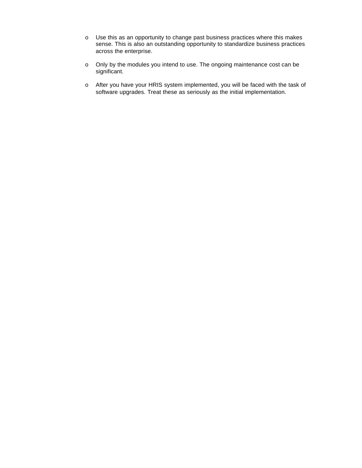- o Use this as an opportunity to change past business practices where this makes sense. This is also an outstanding opportunity to standardize business practices across the enterprise.
- o Only by the modules you intend to use. The ongoing maintenance cost can be significant.
- o After you have your HRIS system implemented, you will be faced with the task of software upgrades. Treat these as seriously as the initial implementation.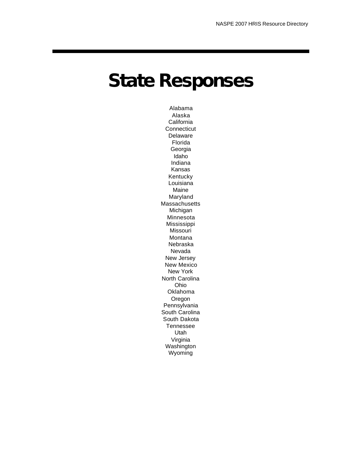## **State Responses**

Alabama Alaska **California Connecticut** Delaware Florida Georgia Idaho Indiana Kansas Kentucky **Louisiana** Maine Maryland Massachusetts Michigan Minnesota Mississippi Missouri Montana Nebraska Nevada New Jersey New Mexico New York North Carolina Ohio Oklahoma Oregon Pennsylvania South Carolina South Dakota Tennessee Utah Virginia Washington Wyoming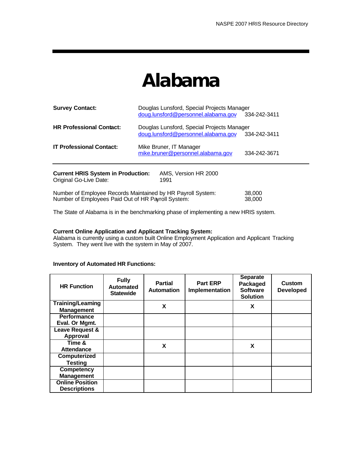### **Alabama**

| <b>Survey Contact:</b>                                                                                            | Douglas Lunsford, Special Projects Manager<br>doug.lunsford@personnel.alabama.gov | 334-242-3411     |
|-------------------------------------------------------------------------------------------------------------------|-----------------------------------------------------------------------------------|------------------|
| <b>HR Professional Contact:</b>                                                                                   | Douglas Lunsford, Special Projects Manager<br>doug.lunsford@personnel.alabama.gov | 334-242-3411     |
| <b>IT Professional Contact:</b>                                                                                   | Mike Bruner, IT Manager<br>mike.bruner@personnel.alabama.gov                      | 334-242-3671     |
| <b>Current HRIS System in Production:</b><br>Original Go-Live Date:                                               | AMS. Version HR 2000<br>1991                                                      |                  |
| Number of Employee Records Maintained by HR Payroll System:<br>Number of Employees Paid Out of HR Payroll System: |                                                                                   | 38,000<br>38.000 |

The State of Alabama is in the benchmarking phase of implementing a new HRIS system.

#### **Current Online Application and Applicant Tracking System:**

Alabama is currently using a custom built Online Employment Application and Applicant Tracking System. They went live with the system in May of 2007.

| <b>HR Function</b>       | <b>Fully</b><br><b>Automated</b><br><b>Statewide</b> | <b>Partial</b><br><b>Automation</b> | <b>Part ERP</b><br>Implementation | <b>Separate</b><br>Packaged<br><b>Software</b><br><b>Solution</b> | <b>Custom</b><br><b>Developed</b> |
|--------------------------|------------------------------------------------------|-------------------------------------|-----------------------------------|-------------------------------------------------------------------|-----------------------------------|
| <b>Training/Learning</b> |                                                      | X                                   |                                   | X                                                                 |                                   |
| <b>Management</b>        |                                                      |                                     |                                   |                                                                   |                                   |
| <b>Performance</b>       |                                                      |                                     |                                   |                                                                   |                                   |
| Eval. Or Mgmt.           |                                                      |                                     |                                   |                                                                   |                                   |
| Leave Request &          |                                                      |                                     |                                   |                                                                   |                                   |
| <b>Approval</b>          |                                                      |                                     |                                   |                                                                   |                                   |
| Time &                   |                                                      | X                                   |                                   | X                                                                 |                                   |
| Attendance               |                                                      |                                     |                                   |                                                                   |                                   |
| Computerized             |                                                      |                                     |                                   |                                                                   |                                   |
| <b>Testing</b>           |                                                      |                                     |                                   |                                                                   |                                   |
| <b>Competency</b>        |                                                      |                                     |                                   |                                                                   |                                   |
| <b>Management</b>        |                                                      |                                     |                                   |                                                                   |                                   |
| <b>Online Position</b>   |                                                      |                                     |                                   |                                                                   |                                   |
| <b>Descriptions</b>      |                                                      |                                     |                                   |                                                                   |                                   |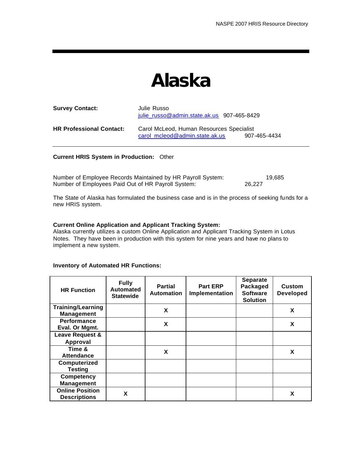### **Alaska**

| <b>Survey Contact:</b>          | Julie Russo<br>julie russo@admin.state.ak.us 907-465-8429                  |              |
|---------------------------------|----------------------------------------------------------------------------|--------------|
| <b>HR Professional Contact:</b> | Carol McLeod, Human Resources Specialist<br>carol mcleod@admin.state.ak.us | 907-465-4434 |

#### **Current HRIS System in Production:** Other

| Number of Employee Records Maintained by HR Payroll System: | 19.685 |
|-------------------------------------------------------------|--------|
| Number of Employees Paid Out of HR Payroll System:          | 26.227 |

The State of Alaska has formulated the business case and is in the process of seeking funds for a new HRIS system.

#### **Current Online Application and Applicant Tracking System:**

Alaska currently utilizes a custom Online Application and Applicant Tracking System in Lotus Notes. They have been in production with this system for nine years and have no plans to implement a new system.

| <b>HR Function</b>                            | <b>Fully</b><br><b>Automated</b><br><b>Statewide</b> | <b>Partial</b><br><b>Automation</b> | <b>Part ERP</b><br>Implementation | <b>Separate</b><br>Packaged<br><b>Software</b><br><b>Solution</b> | <b>Custom</b><br><b>Developed</b> |
|-----------------------------------------------|------------------------------------------------------|-------------------------------------|-----------------------------------|-------------------------------------------------------------------|-----------------------------------|
| <b>Training/Learning</b><br><b>Management</b> |                                                      | X                                   |                                   |                                                                   | X                                 |
| <b>Performance</b><br>Eval. Or Mgmt.          |                                                      | X                                   |                                   |                                                                   | X                                 |
| Leave Request &                               |                                                      |                                     |                                   |                                                                   |                                   |
| Approval                                      |                                                      |                                     |                                   |                                                                   |                                   |
| Time &                                        |                                                      | X                                   |                                   |                                                                   | X                                 |
| <b>Attendance</b>                             |                                                      |                                     |                                   |                                                                   |                                   |
| Computerized                                  |                                                      |                                     |                                   |                                                                   |                                   |
| <b>Testing</b>                                |                                                      |                                     |                                   |                                                                   |                                   |
| <b>Competency</b>                             |                                                      |                                     |                                   |                                                                   |                                   |
| <b>Management</b>                             |                                                      |                                     |                                   |                                                                   |                                   |
| <b>Online Position</b><br><b>Descriptions</b> | X                                                    |                                     |                                   |                                                                   | X                                 |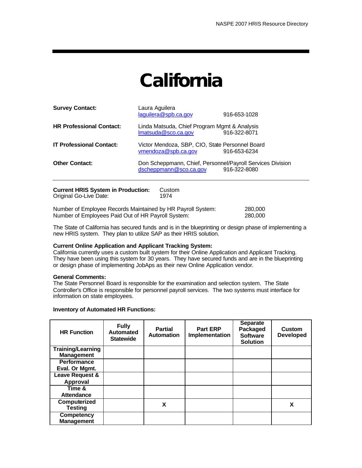## **California**

| <b>Survey Contact:</b>          | Laura Aguilera<br>laguilera@spb.ca.gov                                               | 916-653-1028 |
|---------------------------------|--------------------------------------------------------------------------------------|--------------|
| <b>HR Professional Contact:</b> | Linda Matsuda, Chief Program Mgmt & Analysis<br>Imatsuda@sco.ca.gov                  | 916-322-8071 |
| <b>IT Professional Contact:</b> | Victor Mendoza, SBP, CIO, State Personnel Board<br>vmendoza@spb.ca.gov               | 916-653-6234 |
| <b>Other Contact:</b>           | Don Scheppmann, Chief, Personnel/Payroll Services Division<br>dscheppmann@sco.ca.gov | 916-322-8080 |
|                                 |                                                                                      |              |

| <b>Current HRIS System in Production:</b>                  | Custom |         |
|------------------------------------------------------------|--------|---------|
| Original Go-Live Date:                                     | 1974   |         |
| Number of Employee Decembe Meinteined by UD Dowell Cystemy |        | non non |

Number of Employee Records Maintained by HR Payroll System: 280,000 Number of Employees Paid Out of HR Payroll System: 280,000

The State of California has secured funds and is in the blueprinting or design phase of implementing a new HRIS system. They plan to utilize SAP as their HRIS solution.

#### **Current Online Application and Applicant Tracking System:**

California currently uses a custom built system for their Online Application and Applicant Tracking. They have been using this system for 30 years. They have secured funds and are in the blueprinting or design phase of implementing JobAps as their new Online Application vendor.

#### **General Comments:**

The State Personnel Board is responsible for the examination and selection system. The State Controller's Office is responsible for personnel payroll services. The two systems must interface for information on state employees.

| <b>HR Function</b>                            | <b>Fully</b><br><b>Automated</b><br><b>Statewide</b> | <b>Partial</b><br><b>Automation</b> | <b>Part ERP</b><br><b>Implementation</b> | <b>Separate</b><br>Packaged<br><b>Software</b><br><b>Solution</b> | Custom<br><b>Developed</b> |
|-----------------------------------------------|------------------------------------------------------|-------------------------------------|------------------------------------------|-------------------------------------------------------------------|----------------------------|
| <b>Training/Learning</b><br><b>Management</b> |                                                      |                                     |                                          |                                                                   |                            |
| <b>Performance</b>                            |                                                      |                                     |                                          |                                                                   |                            |
| Eval. Or Mgmt.                                |                                                      |                                     |                                          |                                                                   |                            |
| Leave Request &                               |                                                      |                                     |                                          |                                                                   |                            |
| Approval                                      |                                                      |                                     |                                          |                                                                   |                            |
| Time &                                        |                                                      |                                     |                                          |                                                                   |                            |
| Attendance                                    |                                                      |                                     |                                          |                                                                   |                            |
| Computerized                                  |                                                      | X                                   |                                          |                                                                   | X                          |
| <b>Testing</b>                                |                                                      |                                     |                                          |                                                                   |                            |
| <b>Competency</b>                             |                                                      |                                     |                                          |                                                                   |                            |
| <b>Management</b>                             |                                                      |                                     |                                          |                                                                   |                            |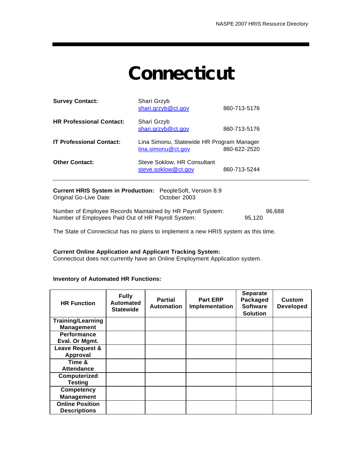## **Connecticut**

| <b>Survey Contact:</b>          | Shari Grzyb<br>shari.grzyb@ct.gov                               | 860-713-5176 |
|---------------------------------|-----------------------------------------------------------------|--------------|
| <b>HR Professional Contact:</b> | Shari Grzyb<br>shari.grzyb@ct.gov                               | 860-713-5176 |
| <b>IT Professional Contact:</b> | Lina Simonu, Statewide HR Program Manager<br>lina.simonu@ct.gov | 860-622-2520 |
| <b>Other Contact:</b>           | Steve Soklow, HR Consultant<br>steve.soklow@ct.gov              | 860-713-5244 |

| <b>Current HRIS System in Production:</b> PeopleSoft, Version 8.9 |              |      |
|-------------------------------------------------------------------|--------------|------|
| Original Go-Live Date:                                            | October 2003 |      |
| Number of Employee Pecards Mainteined by HP Payroll System.       |              | റെ മ |

Number of Employee Records Maintained by HR Payroll System: 96,688<br>Number of Employees Paid Out of HR Payroll System: 95,120 Number of Employees Paid Out of HR Payroll System:

The State of Connecticut has no plans to implement a new HRIS system as this time.

#### **Current Online Application and Applicant Tracking System:**

Connecticut does not currently have an Online Employment Application system.

| <b>HR Function</b>       | <b>Fully</b><br><b>Automated</b><br><b>Statewide</b> | <b>Partial</b><br><b>Automation</b> | <b>Part ERP</b><br>Implementation | <b>Separate</b><br>Packaged<br><b>Software</b><br><b>Solution</b> | <b>Custom</b><br><b>Developed</b> |
|--------------------------|------------------------------------------------------|-------------------------------------|-----------------------------------|-------------------------------------------------------------------|-----------------------------------|
| <b>Training/Learning</b> |                                                      |                                     |                                   |                                                                   |                                   |
| <b>Management</b>        |                                                      |                                     |                                   |                                                                   |                                   |
| <b>Performance</b>       |                                                      |                                     |                                   |                                                                   |                                   |
| Eval. Or Mgmt.           |                                                      |                                     |                                   |                                                                   |                                   |
| Leave Request &          |                                                      |                                     |                                   |                                                                   |                                   |
| Approval                 |                                                      |                                     |                                   |                                                                   |                                   |
| Time &                   |                                                      |                                     |                                   |                                                                   |                                   |
| <b>Attendance</b>        |                                                      |                                     |                                   |                                                                   |                                   |
| Computerized             |                                                      |                                     |                                   |                                                                   |                                   |
| <b>Testing</b>           |                                                      |                                     |                                   |                                                                   |                                   |
| <b>Competency</b>        |                                                      |                                     |                                   |                                                                   |                                   |
| <b>Management</b>        |                                                      |                                     |                                   |                                                                   |                                   |
| <b>Online Position</b>   |                                                      |                                     |                                   |                                                                   |                                   |
| <b>Descriptions</b>      |                                                      |                                     |                                   |                                                                   |                                   |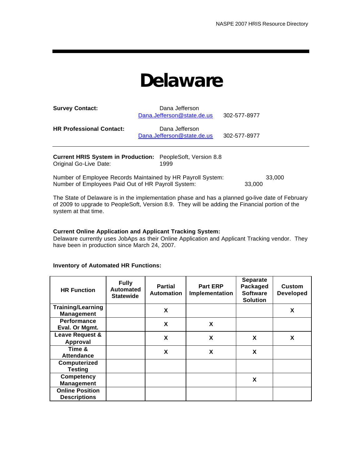### **Delaware**

| <b>Survey Contact:</b>          | Dana Jefferson<br>Dana.Jefferson@state.de.us | 302-577-8977 |
|---------------------------------|----------------------------------------------|--------------|
| <b>HR Professional Contact:</b> | Dana Jefferson<br>Dana.Jefferson@state.de.us | 302-577-8977 |

| <b>Current HRIS System in Production:</b> PeopleSoft, Version 8.8 |      |
|-------------------------------------------------------------------|------|
| Original Go-Live Date:                                            | 1999 |

| Number of Employee Records Maintained by HR Payroll System: | 33.000 |
|-------------------------------------------------------------|--------|
| Number of Employees Paid Out of HR Payroll System:          | 33,000 |

The State of Delaware is in the implementation phase and has a planned go-live date of February of 2009 to upgrade to PeopleSoft, Version 8.9. They will be adding the Financial portion of the system at that time.

#### **Current Online Application and Applicant Tracking System:**

Delaware currently uses JobAps as their Online Application and Applicant Tracking vendor. They have been in production since March 24, 2007.

| <b>HR Function</b>       | <b>Fully</b><br><b>Automated</b><br><b>Statewide</b> | <b>Partial</b><br><b>Automation</b> | <b>Part ERP</b><br>Implementation | <b>Separate</b><br>Packaged<br><b>Software</b><br><b>Solution</b> | <b>Custom</b><br><b>Developed</b> |
|--------------------------|------------------------------------------------------|-------------------------------------|-----------------------------------|-------------------------------------------------------------------|-----------------------------------|
| <b>Training/Learning</b> |                                                      | X                                   |                                   |                                                                   | X                                 |
| <b>Management</b>        |                                                      |                                     |                                   |                                                                   |                                   |
| <b>Performance</b>       |                                                      | X                                   | X                                 |                                                                   |                                   |
| Eval. Or Mgmt.           |                                                      |                                     |                                   |                                                                   |                                   |
| Leave Request &          |                                                      | X                                   | X                                 | X                                                                 | X                                 |
| Approval                 |                                                      |                                     |                                   |                                                                   |                                   |
| Time &                   |                                                      | X                                   | X                                 | X                                                                 |                                   |
| <b>Attendance</b>        |                                                      |                                     |                                   |                                                                   |                                   |
| Computerized             |                                                      |                                     |                                   |                                                                   |                                   |
| <b>Testing</b>           |                                                      |                                     |                                   |                                                                   |                                   |
| <b>Competency</b>        |                                                      |                                     |                                   | X                                                                 |                                   |
| <b>Management</b>        |                                                      |                                     |                                   |                                                                   |                                   |
| <b>Online Position</b>   |                                                      |                                     |                                   |                                                                   |                                   |
| <b>Descriptions</b>      |                                                      |                                     |                                   |                                                                   |                                   |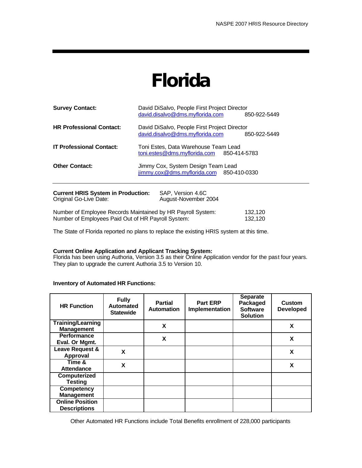### **Florida**

| <b>Survey Contact:</b>                                              | David DiSalvo, People First Project Director<br>david.disalvo@dms.myflorida.com<br>850-922-5449 |
|---------------------------------------------------------------------|-------------------------------------------------------------------------------------------------|
| <b>HR Professional Contact:</b>                                     | David DiSalvo, People First Project Director<br>david.disalvo@dms.myflorida.com<br>850-922-5449 |
| <b>IT Professional Contact:</b>                                     | Toni Estes, Data Warehouse Team Lead<br>toni.estes@dms.myflorida.com 850-414-5783               |
| <b>Other Contact:</b>                                               | Jimmy Cox, System Design Team Lead<br>jimmy.cox@dms.myflorida.com 850-410-0330                  |
| <b>Current HRIS System in Production:</b><br>Original Go-Live Date: | SAP, Version 4.6C<br>August-November 2004                                                       |

| Number of Employee Records Maintained by HR Payroll System: | 132,120 |
|-------------------------------------------------------------|---------|
| Number of Employees Paid Out of HR Payroll System:          | 132.120 |

The State of Florida reported no plans to replace the existing HRIS system at this time.

#### **Current Online Application and Applicant Tracking System:**

Florida has been using Authoria, Version 3.5 as their Online Application vendor for the past four years. They plan to upgrade the current Authoria 3.5 to Version 10.

#### **Inventory of Automated HR Functions:**

| <b>HR Function</b>                            | <b>Fully</b><br><b>Automated</b><br><b>Statewide</b> | <b>Partial</b><br><b>Automation</b> | <b>Part ERP</b><br>Implementation | <b>Separate</b><br>Packaged<br><b>Software</b><br><b>Solution</b> | <b>Custom</b><br><b>Developed</b> |
|-----------------------------------------------|------------------------------------------------------|-------------------------------------|-----------------------------------|-------------------------------------------------------------------|-----------------------------------|
| <b>Training/Learning</b><br><b>Management</b> |                                                      | X                                   |                                   |                                                                   | X                                 |
| <b>Performance</b><br>Eval. Or Mgmt.          |                                                      | X                                   |                                   |                                                                   | X                                 |
| Leave Request &<br>Approval                   | X                                                    |                                     |                                   |                                                                   | X                                 |
| Time &<br><b>Attendance</b>                   | X                                                    |                                     |                                   |                                                                   | X                                 |
| Computerized<br><b>Testing</b>                |                                                      |                                     |                                   |                                                                   |                                   |
| <b>Competency</b><br><b>Management</b>        |                                                      |                                     |                                   |                                                                   |                                   |
| <b>Online Position</b><br><b>Descriptions</b> |                                                      |                                     |                                   |                                                                   |                                   |

Other Automated HR Functions include Total Benefits enrollment of 228,000 participants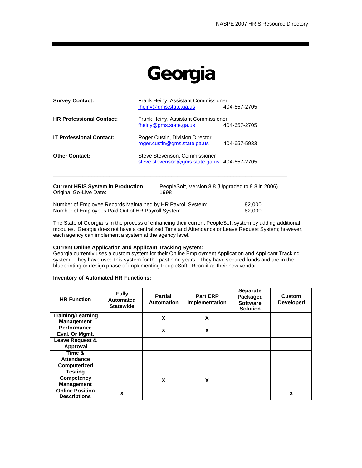# **Georgia**

| <b>Survey Contact:</b>                                              | Frank Heiny, Assistant Commissioner<br>fheiny@gms.state.ga.us<br>404-657-2705   |                                                   |  |
|---------------------------------------------------------------------|---------------------------------------------------------------------------------|---------------------------------------------------|--|
| <b>HR Professional Contact:</b>                                     | Frank Heiny, Assistant Commissioner<br>fheiny@gms.state.ga.us                   | 404-657-2705                                      |  |
| <b>IT Professional Contact:</b>                                     | Roger Custin, Division Director<br>roger.custin@qms.state.ga.us<br>404-657-5933 |                                                   |  |
| <b>Other Contact:</b>                                               | Steve Stevenson, Commissioner<br>steve.stevenson@gms.state.ga.us 404-657-2705   |                                                   |  |
| <b>Current HRIS System in Production:</b><br>Original Go-Live Date: | 1998                                                                            | PeopleSoft, Version 8.8 (Upgraded to 8.8 in 2006) |  |

Number of Employee Records Maintained by HR Payroll System: 82,000<br>Number of Employees Paid Out of HR Payroll System: 82,000 Number of Employees Paid Out of HR Payroll System:

The State of Georgia is in the process of enhancing their current PeopleSoft system by adding additional modules. Georgia does not have a centralized Time and Attendance or Leave Request System; however, each agency can implement a system at the agency level.

#### **Current Online Application and Applicant Tracking System:**

Georgia currently uses a custom system for their Online Employment Application and Applicant Tracking system. They have used this system for the past nine years. They have secured funds and are in the blueprinting or design phase of implementing PeopleSoft eRecruit as their new vendor.

| <b>HR Function</b>                            | <b>Fully</b><br>Automated<br><b>Statewide</b> | <b>Partial</b><br><b>Automation</b> | <b>Part ERP</b><br><b>Implementation</b> | <b>Separate</b><br>Packaged<br><b>Software</b><br><b>Solution</b> | Custom<br><b>Developed</b> |
|-----------------------------------------------|-----------------------------------------------|-------------------------------------|------------------------------------------|-------------------------------------------------------------------|----------------------------|
| <b>Training/Learning</b><br><b>Management</b> |                                               | X                                   | X                                        |                                                                   |                            |
| <b>Performance</b><br>Eval. Or Mgmt.          |                                               | X                                   | X                                        |                                                                   |                            |
| Leave Request &<br>Approval                   |                                               |                                     |                                          |                                                                   |                            |
| Time &<br><b>Attendance</b>                   |                                               |                                     |                                          |                                                                   |                            |
| Computerized<br><b>Testing</b>                |                                               |                                     |                                          |                                                                   |                            |
| <b>Competency</b><br><b>Management</b>        |                                               | X                                   | X                                        |                                                                   |                            |
| <b>Online Position</b><br><b>Descriptions</b> | X                                             |                                     |                                          |                                                                   | X                          |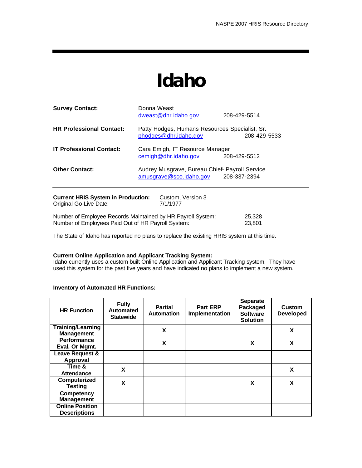### **Idaho**

| <b>Survey Contact:</b>                                              | Donna Weast<br>dweast@dhr.idaho.gov                                       | 208-429-5514 |
|---------------------------------------------------------------------|---------------------------------------------------------------------------|--------------|
| <b>HR Professional Contact:</b>                                     | Patty Hodges, Humans Resources Specialist, Sr.<br>phodges@dhr.idaho.gov   | 208-429-5533 |
| <b>IT Professional Contact:</b>                                     | Cara Emigh, IT Resource Manager<br>cemigh@dhr.idaho.gov                   | 208-429-5512 |
| <b>Other Contact:</b>                                               | Audrey Musgrave, Bureau Chief- Payroll Service<br>amusgrave@sco.idaho.gov | 208-337-2394 |
| <b>Current HRIS System in Production:</b><br>Original Go-Live Date: | Custom, Version 3<br>7/1/1977                                             |              |

Number of Employee Records Maintained by HR Payroll System: 25,328 Number of Employees Paid Out of HR Payroll System: 23,801

The State of Idaho has reported no plans to replace the existing HRIS system at this time.

#### **Current Online Application and Applicant Tracking System:**

Idaho currently uses a custom built Online Application and Applicant Tracking system. They have used this system for the past five years and have indicated no plans to implement a new system.

| <b>HR Function</b>                            | <b>Fully</b><br><b>Automated</b><br><b>Statewide</b> | <b>Partial</b><br><b>Automation</b> | <b>Part ERP</b><br>Implementation | <b>Separate</b><br>Packaged<br><b>Software</b><br><b>Solution</b> | <b>Custom</b><br><b>Developed</b> |
|-----------------------------------------------|------------------------------------------------------|-------------------------------------|-----------------------------------|-------------------------------------------------------------------|-----------------------------------|
| <b>Training/Learning</b><br><b>Management</b> |                                                      | X                                   |                                   |                                                                   | X                                 |
| <b>Performance</b><br>Eval. Or Mgmt.          |                                                      | X                                   |                                   | X                                                                 | X                                 |
| Leave Request &<br>Approval                   |                                                      |                                     |                                   |                                                                   |                                   |
| Time &<br>Attendance                          | X                                                    |                                     |                                   |                                                                   | X                                 |
| Computerized<br><b>Testing</b>                | X                                                    |                                     |                                   | X                                                                 | X                                 |
| <b>Competency</b><br><b>Management</b>        |                                                      |                                     |                                   |                                                                   |                                   |
| <b>Online Position</b><br><b>Descriptions</b> |                                                      |                                     |                                   |                                                                   |                                   |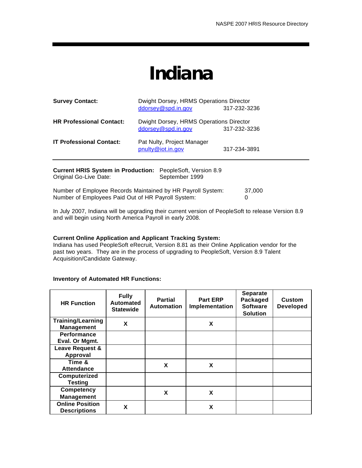### **Indiana**

| <b>Survey Contact:</b>                                    | Dwight Dorsey, HRMS Operations Director |              |  |  |  |
|-----------------------------------------------------------|-----------------------------------------|--------------|--|--|--|
|                                                           | ddorsey@spd.in.gov                      | 317-232-3236 |  |  |  |
| <b>HR Professional Contact:</b>                           | Dwight Dorsey, HRMS Operations Director |              |  |  |  |
|                                                           | ddorsey@spd.in.gov                      | 317-232-3236 |  |  |  |
| <b>IT Professional Contact:</b>                           | Pat Nulty, Project Manager              |              |  |  |  |
|                                                           | pnulty@iot.in.gov                       | 317-234-3891 |  |  |  |
| Current HRIS System in Production: PeopleSoft Version 8.9 |                                         |              |  |  |  |

| <b>UNITERNAL PROTECTED IN THE CONSTITUTE CONSTITUTE</b><br>Original Go-Live Date:                                 | September 1999 |        |
|-------------------------------------------------------------------------------------------------------------------|----------------|--------|
| Number of Employee Records Maintained by HR Payroll System:<br>Number of Employees Paid Out of HR Payroll System: |                | 37.000 |

In July 2007, Indiana will be upgrading their current version of PeopleSoft to release Version 8.9 and will begin using North America Payroll in early 2008.

#### **Current Online Application and Applicant Tracking System:**

Indiana has used PeopleSoft eRecruit, Version 8.81 as their Online Application vendor for the past two years. They are in the process of upgrading to PeopleSoft, Version 8.9 Talent Acquisition/Candidate Gateway.

| <b>HR Function</b>                            | <b>Fully</b><br><b>Automated</b><br><b>Statewide</b> | <b>Partial</b><br><b>Automation</b> | <b>Part ERP</b><br>Implementation | <b>Separate</b><br>Packaged<br><b>Software</b><br><b>Solution</b> | <b>Custom</b><br><b>Developed</b> |
|-----------------------------------------------|------------------------------------------------------|-------------------------------------|-----------------------------------|-------------------------------------------------------------------|-----------------------------------|
| <b>Training/Learning</b><br><b>Management</b> | X                                                    |                                     | X                                 |                                                                   |                                   |
| <b>Performance</b><br>Eval. Or Mgmt.          |                                                      |                                     |                                   |                                                                   |                                   |
| Leave Request &                               |                                                      |                                     |                                   |                                                                   |                                   |
| Approval                                      |                                                      |                                     |                                   |                                                                   |                                   |
| Time &                                        |                                                      | X                                   | X                                 |                                                                   |                                   |
| <b>Attendance</b>                             |                                                      |                                     |                                   |                                                                   |                                   |
| Computerized                                  |                                                      |                                     |                                   |                                                                   |                                   |
| <b>Testing</b>                                |                                                      |                                     |                                   |                                                                   |                                   |
| <b>Competency</b>                             |                                                      | X                                   | X                                 |                                                                   |                                   |
| <b>Management</b>                             |                                                      |                                     |                                   |                                                                   |                                   |
| <b>Online Position</b><br><b>Descriptions</b> | X                                                    |                                     | X                                 |                                                                   |                                   |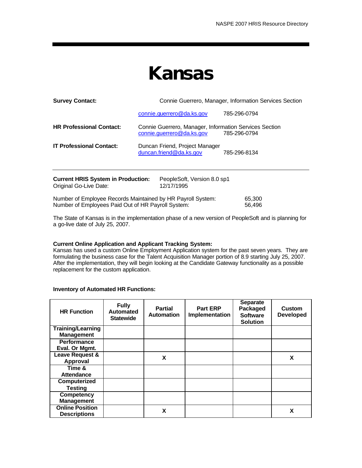### **Kansas**

| <b>Survey Contact:</b>                                                                                            | Connie Guerrero, Manager, Information Services Section |                                                                                     |                  |  |
|-------------------------------------------------------------------------------------------------------------------|--------------------------------------------------------|-------------------------------------------------------------------------------------|------------------|--|
|                                                                                                                   |                                                        | connie.guerrero@da.ks.gov                                                           | 785-296-0794     |  |
| <b>HR Professional Contact:</b>                                                                                   |                                                        | Connie Guerrero, Manager, Information Services Section<br>connie.guerrero@da.ks.gov | 785-296-0794     |  |
| <b>IT Professional Contact:</b>                                                                                   |                                                        | Duncan Friend, Project Manager<br>duncan.friend@da.ks.gov                           | 785-296-8134     |  |
| <b>Current HRIS System in Production:</b><br>Original Go-Live Date:                                               |                                                        | PeopleSoft, Version 8.0 sp1<br>12/17/1995                                           |                  |  |
| Number of Employee Records Maintained by HR Payroll System:<br>Number of Employees Paid Out of HR Payroll System: |                                                        |                                                                                     | 65,300<br>56,496 |  |

The State of Kansas is in the implementation phase of a new version of PeopleSoft and is planning for a go-live date of July 25, 2007.

#### **Current Online Application and Applicant Tracking System:**

Kansas has used a custom Online Employment Application system for the past seven years. They are formulating the business case for the Talent Acquisition Manager portion of 8.9 starting July 25, 2007. After the implementation, they will begin looking at the Candidate Gateway functionality as a possible replacement for the custom application.

| <b>HR Function</b>                            | <b>Fully</b><br><b>Automated</b><br><b>Statewide</b> | <b>Partial</b><br><b>Automation</b> | <b>Part ERP</b><br>Implementation | <b>Separate</b><br>Packaged<br><b>Software</b><br><b>Solution</b> | <b>Custom</b><br><b>Developed</b> |
|-----------------------------------------------|------------------------------------------------------|-------------------------------------|-----------------------------------|-------------------------------------------------------------------|-----------------------------------|
| <b>Training/Learning</b><br><b>Management</b> |                                                      |                                     |                                   |                                                                   |                                   |
| <b>Performance</b><br>Eval. Or Mgmt.          |                                                      |                                     |                                   |                                                                   |                                   |
| Leave Request &<br>Approval                   |                                                      | X                                   |                                   |                                                                   | X                                 |
| Time &<br>Attendance                          |                                                      |                                     |                                   |                                                                   |                                   |
| Computerized<br><b>Testing</b>                |                                                      |                                     |                                   |                                                                   |                                   |
| Competency<br><b>Management</b>               |                                                      |                                     |                                   |                                                                   |                                   |
| <b>Online Position</b><br><b>Descriptions</b> |                                                      | X                                   |                                   |                                                                   | x                                 |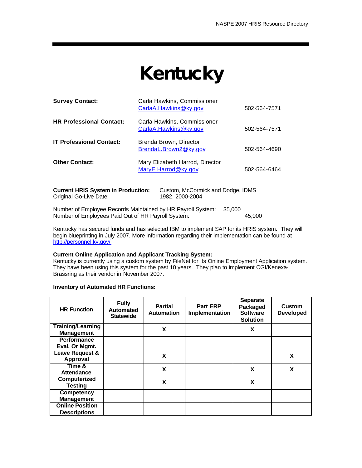# **Kentucky**

| <b>Survey Contact:</b>          | Carla Hawkins, Commissioner<br>CarlaA.Hawkins@ky.gov   | 502-564-7571 |
|---------------------------------|--------------------------------------------------------|--------------|
| <b>HR Professional Contact:</b> | Carla Hawkins, Commissioner<br>CarlaA.Hawkins@ky.gov   | 502-564-7571 |
| <b>IT Professional Contact:</b> | Brenda Brown, Director<br>BrendaL.Brown2@ky.gov        | 502-564-4690 |
| <b>Other Contact:</b>           | Mary Elizabeth Harrod, Director<br>MaryE.Harrod@ky.gov | 502-564-6464 |
|                                 |                                                        |              |

| <b>Current HRIS System in Production:</b> | Custom, McCormick and Dodge, IDMS |
|-------------------------------------------|-----------------------------------|
| Original Go-Live Date:                    | 1982. 2000-2004                   |
|                                           |                                   |

Number of Employee Records Maintained by HR Payroll System: 35,000 Number of Employees Paid Out of HR Payroll System: 45,000

Kentucky has secured funds and has selected IBM to implement SAP for its HRIS system. They will begin blueprinting in July 2007. More information regarding their implementation can be found at http://personnel.ky.gov/.

#### **Current Online Application and Applicant Tracking System:**

Kentucky is currently using a custom system by FileNet for its Online Employment Application system. They have been using this system for the past 10 years. They plan to implement CGI/Kenexa-Brassring as their vendor in November 2007.

| <b>HR Function</b>       | <b>Fully</b><br>Automated<br><b>Statewide</b> | <b>Partial</b><br>Automation | <b>Part ERP</b><br>Implementation | <b>Separate</b><br>Packaged<br><b>Software</b><br><b>Solution</b> | <b>Custom</b><br><b>Developed</b> |  |
|--------------------------|-----------------------------------------------|------------------------------|-----------------------------------|-------------------------------------------------------------------|-----------------------------------|--|
| <b>Training/Learning</b> |                                               | X                            |                                   | X                                                                 |                                   |  |
| <b>Management</b>        |                                               |                              |                                   |                                                                   |                                   |  |
| <b>Performance</b>       |                                               |                              |                                   |                                                                   |                                   |  |
| Eval. Or Mgmt.           |                                               |                              |                                   |                                                                   |                                   |  |
| Leave Request &          |                                               | X                            |                                   |                                                                   | X                                 |  |
| Approval                 |                                               |                              |                                   |                                                                   |                                   |  |
| Time &                   |                                               | X                            |                                   | X                                                                 | X                                 |  |
| <b>Attendance</b>        |                                               |                              |                                   |                                                                   |                                   |  |
| Computerized             |                                               | X                            |                                   |                                                                   | X                                 |  |
| <b>Testing</b>           |                                               |                              |                                   |                                                                   |                                   |  |
| <b>Competency</b>        |                                               |                              |                                   |                                                                   |                                   |  |
| <b>Management</b>        |                                               |                              |                                   |                                                                   |                                   |  |
| <b>Online Position</b>   |                                               |                              |                                   |                                                                   |                                   |  |
| <b>Descriptions</b>      |                                               |                              |                                   |                                                                   |                                   |  |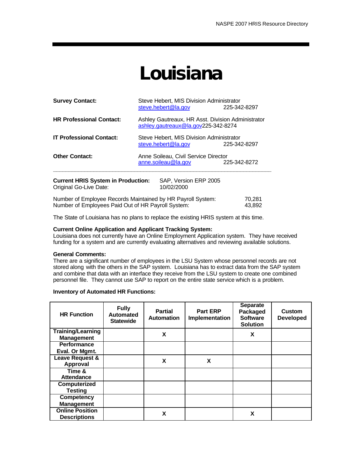### **Louisiana**

| <b>Survey Contact:</b>                                              | Steve Hebert, MIS Division Administrator<br>steve.hebert@la.gov<br>225-342-8297          |                                     |  |  |  |
|---------------------------------------------------------------------|------------------------------------------------------------------------------------------|-------------------------------------|--|--|--|
| <b>HR Professional Contact:</b>                                     | Ashley Gautreaux, HR Asst. Division Administrator<br>ashley.gautreaux@la.gov225-342-8274 |                                     |  |  |  |
| <b>IT Professional Contact:</b>                                     | Steve Hebert, MIS Division Administrator<br>steve.hebert@la.gov<br>225-342-8297          |                                     |  |  |  |
| <b>Other Contact:</b>                                               | Anne Soileau, Civil Service Director<br>anne.soileau@la.gov<br>225-342-8272              |                                     |  |  |  |
| <b>Current HRIS System in Production:</b><br>Original Go-Live Date: |                                                                                          | SAP, Version ERP 2005<br>10/02/2000 |  |  |  |

Number of Employee Records Maintained by HR Payroll System: 70,281<br>Number of Employees Paid Out of HR Payroll System: 43,892 Number of Employees Paid Out of HR Payroll System:

The State of Louisiana has no plans to replace the existing HRIS system at this time.

#### **Current Online Application and Applicant Tracking System:**

Louisiana does not currently have an Online Employment Application system. They have received funding for a system and are currently evaluating alternatives and reviewing available solutions.

#### **General Comments:**

There are a significant number of employees in the LSU System whose personnel records are not stored along with the others in the SAP system. Louisiana has to extract data from the SAP system and combine that data with an interface they receive from the LSU system to create one combined personnel file. They cannot use SAP to report on the entire state service which is a problem.

| <b>HR Function</b>       | <b>Fully</b><br><b>Automated</b><br><b>Statewide</b> | <b>Partial</b><br><b>Automation</b> | <b>Part ERP</b><br>Implementation | <b>Separate</b><br>Packaged<br><b>Software</b><br><b>Solution</b> | Custom<br><b>Developed</b> |
|--------------------------|------------------------------------------------------|-------------------------------------|-----------------------------------|-------------------------------------------------------------------|----------------------------|
| <b>Training/Learning</b> |                                                      | X                                   |                                   | X                                                                 |                            |
| <b>Management</b>        |                                                      |                                     |                                   |                                                                   |                            |
| <b>Performance</b>       |                                                      |                                     |                                   |                                                                   |                            |
| Eval. Or Mgmt.           |                                                      |                                     |                                   |                                                                   |                            |
| Leave Request &          |                                                      | X                                   | X                                 |                                                                   |                            |
| Approval                 |                                                      |                                     |                                   |                                                                   |                            |
| Time &                   |                                                      |                                     |                                   |                                                                   |                            |
| <b>Attendance</b>        |                                                      |                                     |                                   |                                                                   |                            |
| Computerized             |                                                      |                                     |                                   |                                                                   |                            |
| <b>Testing</b>           |                                                      |                                     |                                   |                                                                   |                            |
| <b>Competency</b>        |                                                      |                                     |                                   |                                                                   |                            |
| <b>Management</b>        |                                                      |                                     |                                   |                                                                   |                            |
| <b>Online Position</b>   |                                                      | X                                   |                                   | X                                                                 |                            |
| <b>Descriptions</b>      |                                                      |                                     |                                   |                                                                   |                            |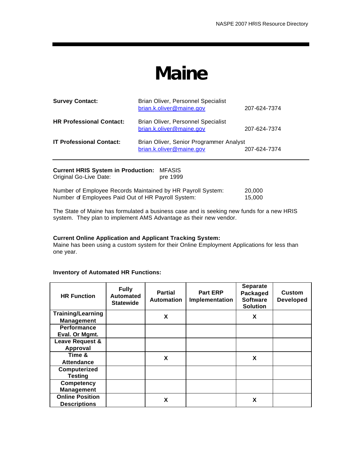## **Maine**

| <b>Survey Contact:</b>          | Brian Oliver, Personnel Specialist<br>brian.k.oliver@maine.gov      | 207-624-7374 |
|---------------------------------|---------------------------------------------------------------------|--------------|
| <b>HR Professional Contact:</b> | Brian Oliver, Personnel Specialist<br>brian.k.oliver@maine.gov      | 207-624-7374 |
| <b>IT Professional Contact:</b> | Brian Oliver, Senior Programmer Analyst<br>brian.k.oliver@maine.gov | 207-624-7374 |
|                                 |                                                                     |              |

| Original Go-Live Date:                                      | pre 1999 |        |
|-------------------------------------------------------------|----------|--------|
| Number of Employee Records Maintained by HR Payroll System: |          | 20.000 |
| Number of Employees Paid Out of HR Payroll System:          |          | 15.000 |

The State of Maine has formulated a business case and is seeking new funds for a new HRIS system. They plan to implement AMS Advantage as their new vendor.

#### **Current Online Application and Applicant Tracking System:**

Maine has been using a custom system for their Online Employment Applications for less than one year.

#### **Inventory of Automated HR Functions:**

**Current HRIS System in Production:** MFASIS

| <b>HR Function</b>                            | <b>Fully</b><br><b>Automated</b><br><b>Statewide</b> | <b>Partial</b><br><b>Automation</b> | <b>Part ERP</b><br>Implementation | <b>Separate</b><br>Packaged<br><b>Software</b><br><b>Solution</b> | <b>Custom</b><br><b>Developed</b> |
|-----------------------------------------------|------------------------------------------------------|-------------------------------------|-----------------------------------|-------------------------------------------------------------------|-----------------------------------|
| <b>Training/Learning</b><br><b>Management</b> |                                                      | X                                   |                                   | X                                                                 |                                   |
| <b>Performance</b><br>Eval. Or Mgmt.          |                                                      |                                     |                                   |                                                                   |                                   |
| Leave Request &<br>Approval                   |                                                      |                                     |                                   |                                                                   |                                   |
| Time &<br><b>Attendance</b>                   |                                                      | X                                   |                                   | X                                                                 |                                   |
| Computerized<br><b>Testing</b>                |                                                      |                                     |                                   |                                                                   |                                   |
| <b>Competency</b><br><b>Management</b>        |                                                      |                                     |                                   |                                                                   |                                   |
| <b>Online Position</b><br><b>Descriptions</b> |                                                      | X                                   |                                   | X                                                                 |                                   |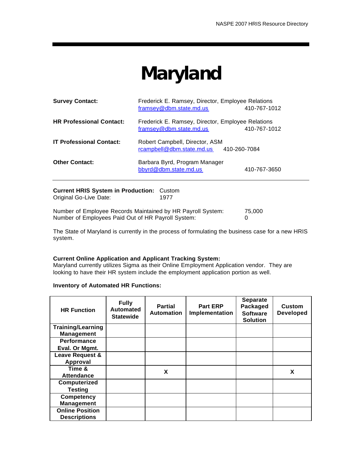# **Maryland**

| <b>Survey Contact:</b>          | Frederick E. Ramsey, Director, Employee Relations<br>framsey@dbm.state.md.us | 410-767-1012 |
|---------------------------------|------------------------------------------------------------------------------|--------------|
| <b>HR Professional Contact:</b> | Frederick E. Ramsey, Director, Employee Relations<br>framsey@dbm.state.md.us | 410-767-1012 |
| <b>IT Professional Contact:</b> | Robert Campbell, Director, ASM<br>rcampbell@dbm.state.md.us                  | 410-260-7084 |
| <b>Other Contact:</b>           | Barbara Byrd, Program Manager<br>bbyrd@dbm.state.md.us                       | 410-767-3650 |

**Current HRIS System in Production:** Custom Original Go-Live Date: 1977

Number of Employee Records Maintained by HR Payroll System: 75,000 Number of Employees Paid Out of HR Payroll System: 0

The State of Maryland is currently in the process of formulating the business case for a new HRIS system.

#### **Current Online Application and Applicant Tracking System:**

Maryland currently utilizes Sigma as their Online Employment Application vendor. They are looking to have their HR system include the employment application portion as well.

| <b>HR Function</b>       | <b>Fully</b><br><b>Automated</b><br><b>Statewide</b> | <b>Partial</b><br><b>Automation</b> | <b>Part ERP</b><br>Implementation | <b>Separate</b><br>Packaged<br><b>Software</b><br><b>Solution</b> | <b>Custom</b><br><b>Developed</b> |
|--------------------------|------------------------------------------------------|-------------------------------------|-----------------------------------|-------------------------------------------------------------------|-----------------------------------|
| <b>Training/Learning</b> |                                                      |                                     |                                   |                                                                   |                                   |
| <b>Management</b>        |                                                      |                                     |                                   |                                                                   |                                   |
| <b>Performance</b>       |                                                      |                                     |                                   |                                                                   |                                   |
| Eval. Or Mgmt.           |                                                      |                                     |                                   |                                                                   |                                   |
| Leave Request &          |                                                      |                                     |                                   |                                                                   |                                   |
| Approval                 |                                                      |                                     |                                   |                                                                   |                                   |
| Time &                   |                                                      | X                                   |                                   |                                                                   | X                                 |
| <b>Attendance</b>        |                                                      |                                     |                                   |                                                                   |                                   |
| Computerized             |                                                      |                                     |                                   |                                                                   |                                   |
| <b>Testing</b>           |                                                      |                                     |                                   |                                                                   |                                   |
| <b>Competency</b>        |                                                      |                                     |                                   |                                                                   |                                   |
| <b>Management</b>        |                                                      |                                     |                                   |                                                                   |                                   |
| <b>Online Position</b>   |                                                      |                                     |                                   |                                                                   |                                   |
| <b>Descriptions</b>      |                                                      |                                     |                                   |                                                                   |                                   |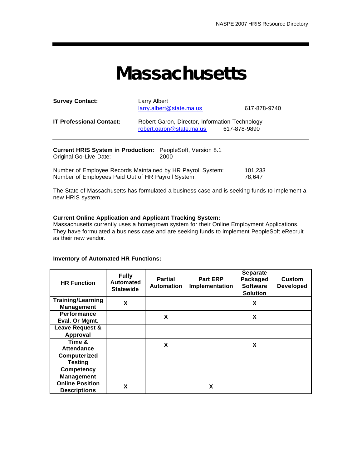### **Massachusetts**

| <b>Survey Contact:</b>                                                                                                        | Larry Albert<br>larry.albert@state.ma.us                           | 617-878-9740      |  |  |  |  |
|-------------------------------------------------------------------------------------------------------------------------------|--------------------------------------------------------------------|-------------------|--|--|--|--|
| <b>IT Professional Contact:</b><br>Robert Garon, Director, Information Technology<br>robert.garon@state.ma.us<br>617-878-9890 |                                                                    |                   |  |  |  |  |
| Original Go-Live Date:                                                                                                        | Current HRIS System in Production: PeopleSoft, Version 8.1<br>2000 |                   |  |  |  |  |
| Number of Employees Paid Out of HR Payroll System:                                                                            | Number of Employee Records Maintained by HR Payroll System:        | 101,233<br>78.647 |  |  |  |  |

The State of Massachusetts has formulated a business case and is seeking funds to implement a new HRIS system.

#### **Current Online Application and Applicant Tracking System:**

Massachusetts currently uses a homegrown system for their Online Employment Applications. They have formulated a business case and are seeking funds to implement PeopleSoft eRecruit as their new vendor.

| <b>HR Function</b>                            | <b>Fully</b><br><b>Automated</b><br><b>Statewide</b> | <b>Partial</b><br><b>Automation</b> | <b>Part ERP</b><br>Implementation | <b>Separate</b><br>Packaged<br><b>Software</b><br><b>Solution</b> | Custom<br><b>Developed</b> |
|-----------------------------------------------|------------------------------------------------------|-------------------------------------|-----------------------------------|-------------------------------------------------------------------|----------------------------|
| <b>Training/Learning</b><br><b>Management</b> | X                                                    |                                     |                                   | X                                                                 |                            |
| <b>Performance</b><br>Eval. Or Mgmt.          |                                                      | X                                   |                                   | X                                                                 |                            |
| Leave Request &                               |                                                      |                                     |                                   |                                                                   |                            |
| Approval                                      |                                                      |                                     |                                   |                                                                   |                            |
| Time &                                        |                                                      | X                                   |                                   | X                                                                 |                            |
| <b>Attendance</b>                             |                                                      |                                     |                                   |                                                                   |                            |
| Computerized                                  |                                                      |                                     |                                   |                                                                   |                            |
| <b>Testing</b>                                |                                                      |                                     |                                   |                                                                   |                            |
| <b>Competency</b>                             |                                                      |                                     |                                   |                                                                   |                            |
| <b>Management</b>                             |                                                      |                                     |                                   |                                                                   |                            |
| <b>Online Position</b>                        | X                                                    |                                     | X                                 |                                                                   |                            |
| <b>Descriptions</b>                           |                                                      |                                     |                                   |                                                                   |                            |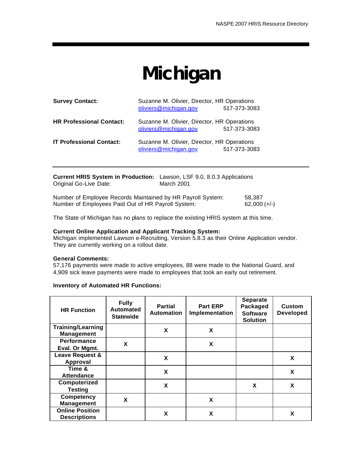# **Michigan**

| <b>Survey Contact:</b>          | Suzanne M. Olivier, Director, HR Operations<br>oliviers@michigan.gov | 517-373-3083 |
|---------------------------------|----------------------------------------------------------------------|--------------|
| <b>HR Professional Contact:</b> | Suzanne M. Olivier, Director, HR Operations<br>oliviers@michigan.gov | 517-373-3083 |
| <b>IT Professional Contact:</b> | Suzanne M. Olivier, Director, HR Operations<br>oliviers@michigan.gov | 517-373-3083 |

| <b>Current HRIS System in Production:</b> Lawson, LSF 9.0, 8.0.3 Applications<br>Original Go-Live Date: | March 2001 |        |
|---------------------------------------------------------------------------------------------------------|------------|--------|
| Number of Employee Records Maintained by HR Payroll System:                                             |            | 58.387 |

Number of Employees Paid Out of HR Payroll System: 62,000 (+/-)

The State of Michigan has no plans to replace the existing HRIS system at this time.

#### **Current Online Application and Applicant Tracking System:**

Michigan implemented Lawson e-Recruiting, Version 5.8.3 as their Online Application vendor. They are currently working on a rollout date.

#### **General Comments:**

57,176 payments were made to active employees, 88 were made to the National Guard, and 4,909 sick leave payments were made to employees that took an early out retirement.

| <b>HR Function</b>                            | <b>Fully</b><br><b>Automated</b><br><b>Statewide</b> | Partial<br><b>Automation</b> | <b>Part ERP</b><br>Implementation | <b>Separate</b><br>Packaged<br><b>Software</b><br><b>Solution</b> | <b>Custom</b><br><b>Developed</b> |
|-----------------------------------------------|------------------------------------------------------|------------------------------|-----------------------------------|-------------------------------------------------------------------|-----------------------------------|
| <b>Training/Learning</b><br><b>Management</b> |                                                      | X                            | X                                 |                                                                   |                                   |
| <b>Performance</b><br>Eval. Or Mgmt.          | X                                                    |                              | X                                 |                                                                   |                                   |
| Leave Request &<br>Approval                   |                                                      | X                            |                                   |                                                                   | X                                 |
| Time &<br><b>Attendance</b>                   |                                                      | X                            |                                   |                                                                   | X                                 |
| Computerized<br><b>Testing</b>                |                                                      | X                            |                                   | X                                                                 | X                                 |
| <b>Competency</b><br><b>Management</b>        | X                                                    |                              | X                                 |                                                                   |                                   |
| <b>Online Position</b><br><b>Descriptions</b> |                                                      | X                            | X                                 |                                                                   | X                                 |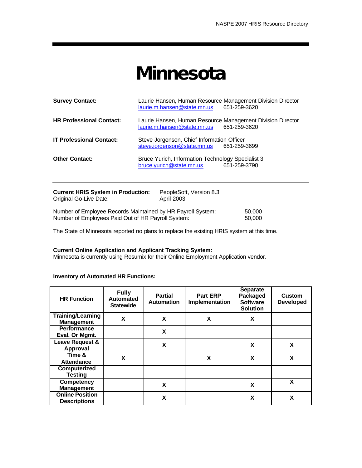## **Minnesota**

| <b>Survey Contact:</b>                                               | Laurie Hansen, Human Resource Management Division Director<br>laurie.m.hansen@state.mn.us | 651-259-3620 |  |  |  |
|----------------------------------------------------------------------|-------------------------------------------------------------------------------------------|--------------|--|--|--|
| <b>HR Professional Contact:</b>                                      | Laurie Hansen, Human Resource Management Division Director<br>laurie.m.hansen@state.mn.us | 651-259-3620 |  |  |  |
| <b>IT Professional Contact:</b>                                      | Steve Jorgenson, Chief Information Officer<br>steve.jorgenson@state.mn.us                 | 651-259-3699 |  |  |  |
| <b>Other Contact:</b>                                                | Bruce Yurich, Information Technology Specialist 3<br>bruce.yurich@state.mn.us             | 651-259-3790 |  |  |  |
| <b>Current HRIS System in Production:</b><br>PeopleSoft. Version 8.3 |                                                                                           |              |  |  |  |

| Original Go-Live Date:                                      | <b>April 2003</b> |        |
|-------------------------------------------------------------|-------------------|--------|
| Number of Employee Records Maintained by HR Payroll System: |                   | 50,000 |
| Number of Employees Paid Out of HR Payroll System:          |                   | 50,000 |

The State of Minnesota reported no plans to replace the existing HRIS system at this time.

#### **Current Online Application and Applicant Tracking System:**

Minnesota is currently using Resumix for their Online Employment Application vendor.

| <b>HR Function</b>                            | <b>Fully</b><br><b>Automated</b><br><b>Statewide</b> | <b>Partial</b><br><b>Automation</b> | <b>Part ERP</b><br><b>Implementation</b> | <b>Separate</b><br>Packaged<br><b>Software</b><br><b>Solution</b> | <b>Custom</b><br><b>Developed</b> |
|-----------------------------------------------|------------------------------------------------------|-------------------------------------|------------------------------------------|-------------------------------------------------------------------|-----------------------------------|
| <b>Training/Learning</b><br><b>Management</b> | X                                                    | X                                   | X                                        | X                                                                 |                                   |
| <b>Performance</b><br>Eval. Or Mgmt.          |                                                      | X                                   |                                          |                                                                   |                                   |
| Leave Request &<br>Approval                   |                                                      | X                                   |                                          | X                                                                 | X                                 |
| Time &<br>Attendance                          | X                                                    |                                     | X                                        | X                                                                 | X                                 |
| Computerized<br><b>Testing</b>                |                                                      |                                     |                                          |                                                                   |                                   |
| <b>Competency</b><br><b>Management</b>        |                                                      | X                                   |                                          | X                                                                 | X                                 |
| <b>Online Position</b><br><b>Descriptions</b> |                                                      | X                                   |                                          | X                                                                 | X                                 |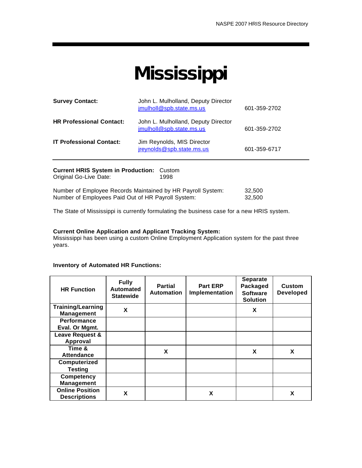# **Mississippi**

| <b>Survey Contact:</b>          | John L. Mulholland, Deputy Director<br>jmulholl@spb.state.ms.us | 601-359-2702 |
|---------------------------------|-----------------------------------------------------------------|--------------|
| <b>HR Professional Contact:</b> | John L. Mulholland, Deputy Director<br>jmulholl@spb.state.ms.us | 601-359-2702 |
| <b>IT Professional Contact:</b> | Jim Reynolds, MIS Director<br>jreynolds@spb.state.ms.us         | 601-359-6717 |
|                                 |                                                                 |              |

**Current HRIS System in Production:** Custom Original Go-Live Date: Number of Employee Records Maintained by HR Payroll System: 32,500 Number of Employees Paid Out of HR Payroll System: 32,500

The State of Mississippi is currently formulating the business case for a new HRIS system.

#### **Current Online Application and Applicant Tracking System:**

Mississippi has been using a custom Online Employment Application system for the past three years.

| <b>HR Function</b>                            | <b>Fully</b><br><b>Automated</b><br><b>Statewide</b> | <b>Partial</b><br><b>Automation</b> | <b>Part ERP</b><br>Implementation | <b>Separate</b><br>Packaged<br><b>Software</b><br><b>Solution</b> | <b>Custom</b><br><b>Developed</b> |
|-----------------------------------------------|------------------------------------------------------|-------------------------------------|-----------------------------------|-------------------------------------------------------------------|-----------------------------------|
| <b>Training/Learning</b><br><b>Management</b> | X                                                    |                                     |                                   | X                                                                 |                                   |
| <b>Performance</b>                            |                                                      |                                     |                                   |                                                                   |                                   |
| Eval. Or Mgmt.                                |                                                      |                                     |                                   |                                                                   |                                   |
| Leave Request &                               |                                                      |                                     |                                   |                                                                   |                                   |
| Approval                                      |                                                      |                                     |                                   |                                                                   |                                   |
| Time &                                        |                                                      | X                                   |                                   | X                                                                 | X                                 |
| <b>Attendance</b>                             |                                                      |                                     |                                   |                                                                   |                                   |
| Computerized                                  |                                                      |                                     |                                   |                                                                   |                                   |
| <b>Testing</b>                                |                                                      |                                     |                                   |                                                                   |                                   |
| <b>Competency</b>                             |                                                      |                                     |                                   |                                                                   |                                   |
| <b>Management</b>                             |                                                      |                                     |                                   |                                                                   |                                   |
| <b>Online Position</b><br><b>Descriptions</b> | X                                                    |                                     | X                                 |                                                                   | X                                 |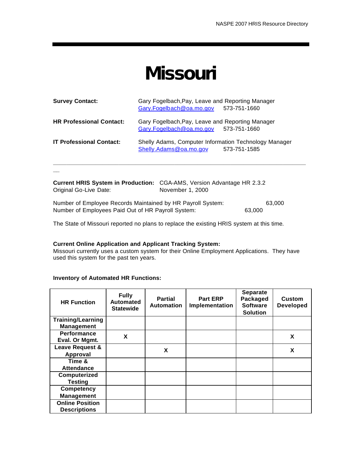### **Missouri**

| <b>Survey Contact:</b>          | Gary Fogelbach, Pay, Leave and Reporting Manager<br>Gary.Fogelbach@oa.mo.gov              | 573-751-1660 |
|---------------------------------|-------------------------------------------------------------------------------------------|--------------|
| <b>HR Professional Contact:</b> | Gary Fogelbach, Pay, Leave and Reporting Manager<br>Gary.Fogelbach@oa.mo.gov 573-751-1660 |              |
| <b>IT Professional Contact:</b> | Shelly Adams, Computer Information Technology Manager<br>Shelly.Adams@oa.mo.gov           | 573-751-1585 |

| <b>Current HRIS System in Production:</b> CGA-AMS, Version Advantage HR 2.3.2 |                  |        |        |
|-------------------------------------------------------------------------------|------------------|--------|--------|
| Original Go-Live Date:                                                        | November 1, 2000 |        |        |
|                                                                               |                  |        |        |
| Number of Employee Records Maintained by HR Payroll System:                   |                  |        | 63.000 |
| Number of Employees Paid Out of HR Payroll System:                            |                  | 63,000 |        |

The State of Missouri reported no plans to replace the existing HRIS system at this time.

#### **Current Online Application and Applicant Tracking System:**

Missouri currently uses a custom system for their Online Employment Applications. They have used this system for the past ten years.

#### **Inventory of Automated HR Functions:**

**\_\_**

| <b>HR Function</b>                            | <b>Fully</b><br>Automated<br><b>Statewide</b> | <b>Partial</b><br><b>Automation</b> | <b>Part ERP</b><br><b>Implementation</b> | <b>Separate</b><br>Packaged<br><b>Software</b><br><b>Solution</b> | <b>Custom</b><br><b>Developed</b> |
|-----------------------------------------------|-----------------------------------------------|-------------------------------------|------------------------------------------|-------------------------------------------------------------------|-----------------------------------|
| <b>Training/Learning</b><br><b>Management</b> |                                               |                                     |                                          |                                                                   |                                   |
| <b>Performance</b><br>Eval. Or Mgmt.          | X                                             |                                     |                                          |                                                                   | X                                 |
| Leave Request &<br>Approval                   |                                               | X                                   |                                          |                                                                   | X                                 |
| Time &<br><b>Attendance</b>                   |                                               |                                     |                                          |                                                                   |                                   |
| Computerized<br><b>Testing</b>                |                                               |                                     |                                          |                                                                   |                                   |
| <b>Competency</b><br><b>Management</b>        |                                               |                                     |                                          |                                                                   |                                   |
| <b>Online Position</b><br><b>Descriptions</b> |                                               |                                     |                                          |                                                                   |                                   |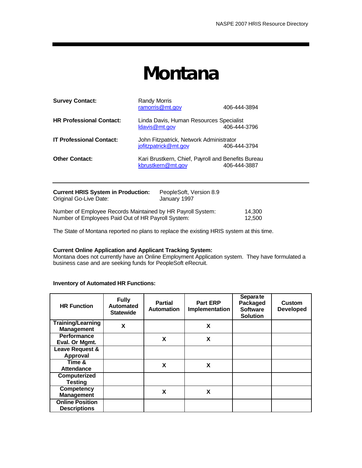## **Montana**

| <b>Survey Contact:</b>                                       | <b>Randy Morris</b><br>ramorris@mt.gov                                  | 406-444-3894 |  |  |
|--------------------------------------------------------------|-------------------------------------------------------------------------|--------------|--|--|
| <b>HR Professional Contact:</b>                              | Linda Davis, Human Resources Specialist<br>ldavis@mt.gov                | 406-444-3796 |  |  |
| <b>IT Professional Contact:</b>                              | John Fitzpatrick, Network Administrator<br>jofitzpatrick@mt.gov         | 406-444-3794 |  |  |
| <b>Other Contact:</b>                                        | Kari Brustkern, Chief, Payroll and Benefits Bureau<br>kbrustkern@mt.gov | 406-444-3887 |  |  |
| Current HRIS System in Production.<br>PeopleSoft Version 8.9 |                                                                         |              |  |  |

| <b>CULLELITIO OVSIGILE ILL FTUQUULIUIL.</b><br>Original Go-Live Date: | <b>F CUNICUUIL VEISIUII 0.J</b><br>January 1997 |        |
|-----------------------------------------------------------------------|-------------------------------------------------|--------|
| Number of Employee Records Maintained by HR Payroll System:           |                                                 | 14.300 |
| Number of Employees Paid Out of HR Payroll System:                    |                                                 | 12.500 |

The State of Montana reported no plans to replace the existing HRIS system at this time.

#### **Current Online Application and Applicant Tracking System:**

Montana does not currently have an Online Employment Application system. They have formulated a business case and are seeking funds for PeopleSoft eRecruit.

| <b>HR Function</b>                            | <b>Fully</b><br><b>Automated</b><br><b>Statewide</b> | <b>Partial</b><br><b>Automation</b> | <b>Part ERP</b><br>Implementation | Separa te<br>Packaged<br><b>Software</b><br><b>Solution</b> | <b>Custom</b><br><b>Developed</b> |
|-----------------------------------------------|------------------------------------------------------|-------------------------------------|-----------------------------------|-------------------------------------------------------------|-----------------------------------|
| <b>Training/Learning</b><br><b>Management</b> | X                                                    |                                     | X                                 |                                                             |                                   |
| <b>Performance</b><br>Eval. Or Mgmt.          |                                                      | X                                   | X                                 |                                                             |                                   |
| Leave Request &                               |                                                      |                                     |                                   |                                                             |                                   |
| Approval                                      |                                                      |                                     |                                   |                                                             |                                   |
| Time &<br>Attendance                          |                                                      | X                                   | X                                 |                                                             |                                   |
| Computerized                                  |                                                      |                                     |                                   |                                                             |                                   |
| <b>Testing</b>                                |                                                      |                                     |                                   |                                                             |                                   |
| <b>Competency</b><br><b>Management</b>        |                                                      | X                                   | X                                 |                                                             |                                   |
| <b>Online Position</b><br><b>Descriptions</b> |                                                      |                                     |                                   |                                                             |                                   |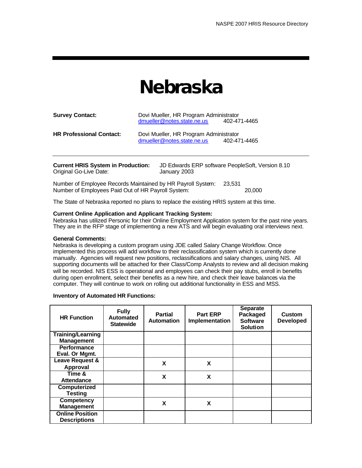## **Nebraska**

| <b>Survey Contact:</b>          | Dovi Mueller, HR Program Administrator<br>dmueller@notes.state.ne.us | 402-471-4465 |
|---------------------------------|----------------------------------------------------------------------|--------------|
| <b>HR Professional Contact:</b> | Dovi Mueller, HR Program Administrator<br>dmueller@notes.state.ne.us | 402-471-4465 |

| <b>Current HRIS System in Production:</b><br>Original Go-Live Date:                                               | JD Edwards ERP software PeopleSoft, Version 8.10<br>January 2003 |        |        |  |
|-------------------------------------------------------------------------------------------------------------------|------------------------------------------------------------------|--------|--------|--|
| Number of Employee Records Maintained by HR Payroll System:<br>Number of Employees Paid Out of HR Payroll System: |                                                                  | 23.531 | 20,000 |  |

The State of Nebraska reported no plans to replace the existing HRIS system at this time.

#### **Current Online Application and Applicant Tracking System:**

Nebraska has utilized Personic for their Online Employment Application system for the past nine years. They are in the RFP stage of implementing a new ATS and will begin evaluating oral interviews next.

#### **General Comments:**

Nebraska is developing a custom program using JDE called Salary Change Workflow. Once implemented this process will add workflow to their reclassification system which is currently done manually. Agencies will request new positions, reclassifications and salary changes, using NIS. All supporting documents will be attached for their Class/Comp Analysts to review and all decision making will be recorded. NIS ESS is operational and employees can check their pay stubs, enroll in benefits during open enrollment, select their benefits as a new hire, and check their leave balances via the computer. They will continue to work on rolling out additional functionality in ESS and MSS.

| <b>HR Function</b>                            | <b>Fully</b><br>Automated<br><b>Statewide</b> | <b>Partial</b><br><b>Automation</b> | <b>Part ERP</b><br><b>Implementation</b> | <b>Separate</b><br>Packaged<br><b>Software</b><br><b>Solution</b> | <b>Custom</b><br><b>Developed</b> |
|-----------------------------------------------|-----------------------------------------------|-------------------------------------|------------------------------------------|-------------------------------------------------------------------|-----------------------------------|
| <b>Training/Learning</b><br><b>Management</b> |                                               |                                     |                                          |                                                                   |                                   |
| <b>Performance</b><br>Eval. Or Mgmt.          |                                               |                                     |                                          |                                                                   |                                   |
| Leave Request &<br><b>Approval</b>            |                                               | X                                   | X                                        |                                                                   |                                   |
| Time &<br><b>Attendance</b>                   |                                               | X                                   | X                                        |                                                                   |                                   |
| Computerized<br><b>Testing</b>                |                                               |                                     |                                          |                                                                   |                                   |
| <b>Competency</b><br><b>Management</b>        |                                               | X                                   | X                                        |                                                                   |                                   |
| <b>Online Position</b><br><b>Descriptions</b> |                                               |                                     |                                          |                                                                   |                                   |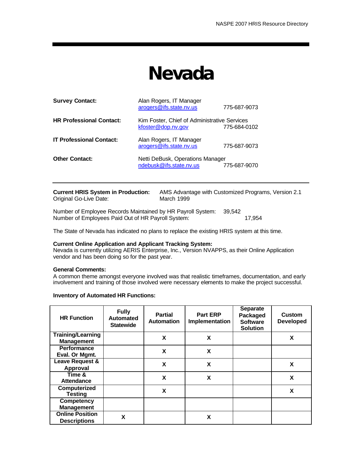### **Nevada**

| <b>Survey Contact:</b>          | Alan Rogers, IT Manager<br>arogers@ifs.state.nv.us                 | 775-687-9073 |
|---------------------------------|--------------------------------------------------------------------|--------------|
| <b>HR Professional Contact:</b> | Kim Foster, Chief of Administrative Services<br>kfoster@dop.nv.gov | 775-684-0102 |
| <b>IT Professional Contact:</b> | Alan Rogers, IT Manager<br>arogers@ifs.state.nv.us                 | 775-687-9073 |
| <b>Other Contact:</b>           | Netti DeBusk, Operations Manager<br>ndebusk@ifs.state.nv.us        | 775-687-9070 |

| <b>Current HRIS System in Production:</b> | AMS Advantage with Customized Programs, Version 2.1 |
|-------------------------------------------|-----------------------------------------------------|
| Original Go-Live Date:                    | March 1999                                          |

Number of Employee Records Maintained by HR Payroll System: 39,542 Number of Employees Paid Out of HR Payroll System: 17,954

The State of Nevada has indicated no plans to replace the existing HRIS system at this time.

#### **Current Online Application and Applicant Tracking System:**

Nevada is currently utilizing AERIS Enterprise, Inc., Version NVAPPS, as their Online Application vendor and has been doing so for the past year.

#### **General Comments:**

A common theme amongst everyone involved was that realistic timeframes, documentation, and early involvement and training of those involved were necessary elements to make the project successful.

| <b>HR Function</b>                            | <b>Fully</b><br><b>Automated</b><br><b>Statewide</b> | <b>Partial</b><br><b>Automation</b> | <b>Part ERP</b><br>Implementation | <b>Separate</b><br>Packaged<br><b>Software</b><br><b>Solution</b> | Custom<br><b>Developed</b> |
|-----------------------------------------------|------------------------------------------------------|-------------------------------------|-----------------------------------|-------------------------------------------------------------------|----------------------------|
| <b>Training/Learning</b><br><b>Management</b> |                                                      | X                                   | X                                 |                                                                   | X                          |
| <b>Performance</b><br>Eval. Or Mgmt.          |                                                      | X                                   | X                                 |                                                                   |                            |
| Leave Request &<br>Approval                   |                                                      | X                                   | X                                 |                                                                   | X                          |
| Time &<br><b>Attendance</b>                   |                                                      | X                                   | X                                 |                                                                   | X                          |
| Computerized<br><b>Testing</b>                |                                                      | X                                   |                                   |                                                                   | X                          |
| <b>Competency</b><br><b>Management</b>        |                                                      |                                     |                                   |                                                                   |                            |
| <b>Online Position</b><br><b>Descriptions</b> | X                                                    |                                     | X                                 |                                                                   |                            |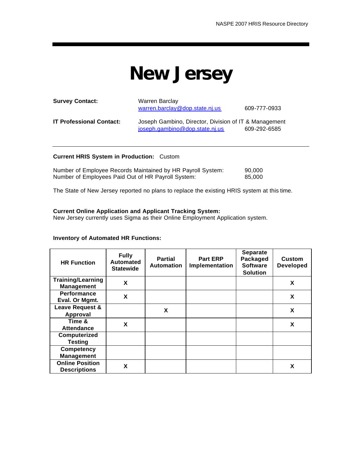### **New Jersey**

| <b>Survey Contact:</b>          | <b>Warren Barclay</b><br>warren.barclay@dop.state.nj.us                                 | 609-777-0933 |
|---------------------------------|-----------------------------------------------------------------------------------------|--------------|
| <b>IT Professional Contact:</b> | Joseph Gambino, Director, Division of IT & Management<br>joseph.gambino@dop.state.nj.us | 609-292-6585 |

#### **Current HRIS System in Production:** Custom

| Number of Employee Records Maintained by HR Payroll System: | 90,000 |
|-------------------------------------------------------------|--------|
| Number of Employees Paid Out of HR Payroll System:          | 85.000 |

The State of New Jersey reported no plans to replace the existing HRIS system at this time.

#### **Current Online Application and Applicant Tracking System:**

New Jersey currently uses Sigma as their Online Employment Application system.

| <b>HR Function</b>                            | <b>Fully</b><br><b>Automated</b><br><b>Statewide</b> | <b>Partial</b><br><b>Automation</b> | <b>Part ERP</b><br>Implementation | <b>Separate</b><br>Packaged<br><b>Software</b><br><b>Solution</b> | Custom<br><b>Developed</b> |
|-----------------------------------------------|------------------------------------------------------|-------------------------------------|-----------------------------------|-------------------------------------------------------------------|----------------------------|
| <b>Training/Learning</b><br><b>Management</b> | X                                                    |                                     |                                   |                                                                   | X                          |
| <b>Performance</b><br>Eval. Or Mgmt.          | X                                                    |                                     |                                   |                                                                   | X                          |
| Leave Request &                               |                                                      | X                                   |                                   |                                                                   | X                          |
| Approval                                      |                                                      |                                     |                                   |                                                                   |                            |
| Time &                                        | X                                                    |                                     |                                   |                                                                   | X                          |
| <b>Attendance</b>                             |                                                      |                                     |                                   |                                                                   |                            |
| Computerized                                  |                                                      |                                     |                                   |                                                                   |                            |
| <b>Testing</b>                                |                                                      |                                     |                                   |                                                                   |                            |
| <b>Competency</b>                             |                                                      |                                     |                                   |                                                                   |                            |
| <b>Management</b>                             |                                                      |                                     |                                   |                                                                   |                            |
| <b>Online Position</b><br><b>Descriptions</b> | X                                                    |                                     |                                   |                                                                   | X                          |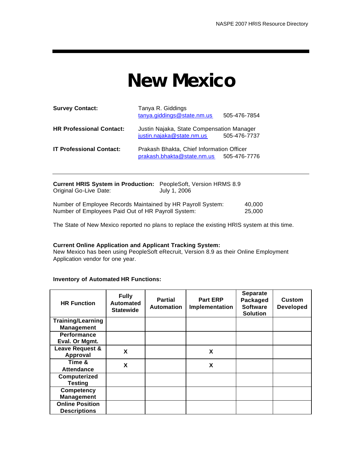## **New Mexico**

| <b>Survey Contact:</b>          | Tanya R. Giddings<br>tanya.giddings@state.nm.us                         | 505-476-7854 |
|---------------------------------|-------------------------------------------------------------------------|--------------|
| <b>HR Professional Contact:</b> | Justin Najaka, State Compensation Manager<br>justin.najaka@state.nm.us  | 505-476-7737 |
| <b>IT Professional Contact:</b> | Prakash Bhakta, Chief Information Officer<br>prakash.bhakta@state.nm.us | 505-476-7776 |

| <b>Current HRIS System in Production:</b> PeopleSoft, Version HRMS 8.9 |              |        |
|------------------------------------------------------------------------|--------------|--------|
| Original Go-Live Date:                                                 | July 1, 2006 |        |
| Number of Employee Records Maintained by HR Payroll System:            |              | 40.000 |
| Number of Employees Paid Out of HR Payroll System:                     |              | 25,000 |

The State of New Mexico reported no plans to replace the existing HRIS system at this time.

#### **Current Online Application and Applicant Tracking System:**

New Mexico has been using PeopleSoft eRecruit, Version 8.9 as their Online Employment Application vendor for one year.

| <b>HR Function</b>       | <b>Fully</b><br><b>Automated</b><br><b>Statewide</b> | <b>Partial</b><br><b>Automation</b> | <b>Part ERP</b><br>Implementation | <b>Separate</b><br>Packaged<br><b>Software</b><br><b>Solution</b> | <b>Custom</b><br><b>Developed</b> |
|--------------------------|------------------------------------------------------|-------------------------------------|-----------------------------------|-------------------------------------------------------------------|-----------------------------------|
| <b>Training/Learning</b> |                                                      |                                     |                                   |                                                                   |                                   |
| <b>Management</b>        |                                                      |                                     |                                   |                                                                   |                                   |
| Performance              |                                                      |                                     |                                   |                                                                   |                                   |
| Eval. Or Mgmt.           |                                                      |                                     |                                   |                                                                   |                                   |
| Leave Request &          | X                                                    |                                     | X                                 |                                                                   |                                   |
| Approval                 |                                                      |                                     |                                   |                                                                   |                                   |
| Time &                   | X                                                    |                                     | X                                 |                                                                   |                                   |
| <b>Attendance</b>        |                                                      |                                     |                                   |                                                                   |                                   |
| Computerized             |                                                      |                                     |                                   |                                                                   |                                   |
| <b>Testing</b>           |                                                      |                                     |                                   |                                                                   |                                   |
| <b>Competency</b>        |                                                      |                                     |                                   |                                                                   |                                   |
| <b>Management</b>        |                                                      |                                     |                                   |                                                                   |                                   |
| <b>Online Position</b>   |                                                      |                                     |                                   |                                                                   |                                   |
| <b>Descriptions</b>      |                                                      |                                     |                                   |                                                                   |                                   |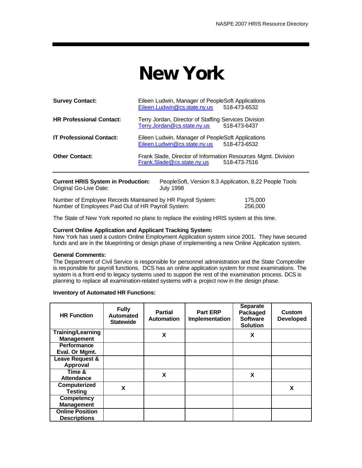## **New York**

| <b>Survey Contact:</b>          | Eileen Ludwin, Manager of PeopleSoft Applications<br>Eileen.Ludwin@cs.state.ny.us           | 518-473-6532 |
|---------------------------------|---------------------------------------------------------------------------------------------|--------------|
| <b>HR Professional Contact:</b> | Terry Jordan, Director of Staffing Services Division<br>Terry.Jordan@cs.state.ny.us         | 518-473-6437 |
| <b>IT Professional Contact:</b> | Eileen Ludwin, Manager of PeopleSoft Applications<br>Eileen.Ludwin@cs.state.ny.us           | 518-473-6532 |
| <b>Other Contact:</b>           | Frank Slade, Director of Information Resources Mgmt. Division<br>Frank.Slade@cs.state.ny.us | 518-473-7516 |
|                                 |                                                                                             |              |

| <b>Current HRIS System in Production:</b> | PeopleSoft, Version 8.3 Application, 8.22 People Tools |
|-------------------------------------------|--------------------------------------------------------|
| Original Go-Live Date:                    | July 1998                                              |
| .                                         |                                                        |

Number of Employee Records Maintained by HR Payroll System: 175,000<br>Number of Employees Paid Out of HR Payroll System: 1998 1256,000 Number of Employees Paid Out of HR Payroll System:

The State of New York reported no plans to replace the existing HRIS system at this time.

#### **Current Online Application and Applicant Tracking System:**

New York has used a custom Online Employment Application system since 2001. They have secured funds and are in the blueprinting or design phase of implementing a new Online Application system.

#### **General Comments:**

The Department of Civil Service is responsible for personnel administration and the State Comptroller is responsible for payroll functions. DCS has an online application system for most examinations. The system is a front-end to legacy systems used to support the rest of the examination process. DCS is planning to replace all examination-related systems with a project now in the design phase.

| <b>HR Function</b>       | <b>Fully</b><br><b>Automated</b><br><b>Statewide</b> | <b>Partial</b><br><b>Automation</b> | <b>Part ERP</b><br>Implementation | <b>Separate</b><br>Packaged<br><b>Software</b><br><b>Solution</b> | <b>Custom</b><br><b>Developed</b> |
|--------------------------|------------------------------------------------------|-------------------------------------|-----------------------------------|-------------------------------------------------------------------|-----------------------------------|
| <b>Training/Learning</b> |                                                      | X                                   |                                   | X                                                                 |                                   |
| <b>Management</b>        |                                                      |                                     |                                   |                                                                   |                                   |
| Performance              |                                                      |                                     |                                   |                                                                   |                                   |
| Eval. Or Mgmt.           |                                                      |                                     |                                   |                                                                   |                                   |
| Leave Request &          |                                                      |                                     |                                   |                                                                   |                                   |
| Approval                 |                                                      |                                     |                                   |                                                                   |                                   |
| Time &                   |                                                      | X                                   |                                   | X                                                                 |                                   |
| <b>Attendance</b>        |                                                      |                                     |                                   |                                                                   |                                   |
| Computerized             | X                                                    |                                     |                                   |                                                                   | X                                 |
| <b>Testing</b>           |                                                      |                                     |                                   |                                                                   |                                   |
| Competency               |                                                      |                                     |                                   |                                                                   |                                   |
| <b>Management</b>        |                                                      |                                     |                                   |                                                                   |                                   |
| <b>Online Position</b>   |                                                      |                                     |                                   |                                                                   |                                   |
| <b>Descriptions</b>      |                                                      |                                     |                                   |                                                                   |                                   |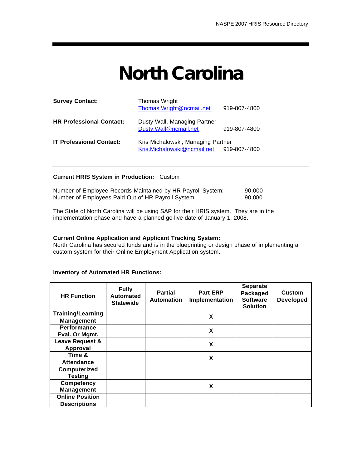## **North Carolina**

| <b>Survey Contact:</b>          | Thomas Wright<br>Thomas.Wright@ncmail.net                         | 919-807-4800 |
|---------------------------------|-------------------------------------------------------------------|--------------|
| <b>HR Professional Contact:</b> | Dusty Wall, Managing Partner<br>Dusty.Wall@ncmail.net             | 919-807-4800 |
| <b>IT Professional Contact:</b> | Kris Michalowski, Managing Partner<br>Kris.Michalowski@ncmail.net | 919-807-4800 |

#### **Current HRIS System in Production:** Custom

|  | Number of Employee Records Maintained by HR Payroll System: |  | 90,000 |
|--|-------------------------------------------------------------|--|--------|
|  | Number of Employees Paid Out of HR Payroll System:          |  | 90.000 |

The State of North Carolina will be using SAP for their HRIS system. They are in the implementation phase and have a planned go-live date of January 1, 2008.

#### **Current Online Application and Applicant Tracking System:**

North Carolina has secured funds and is in the blueprinting or design phase of implementing a custom system for their Online Employment Application system.

| <b>HR Function</b>       | <b>Fully</b><br><b>Automated</b><br><b>Statewide</b> | <b>Partial</b><br><b>Automation</b> | <b>Part ERP</b><br>Implementation | <b>Separate</b><br>Packaged<br><b>Software</b><br><b>Solution</b> | <b>Custom</b><br><b>Developed</b> |
|--------------------------|------------------------------------------------------|-------------------------------------|-----------------------------------|-------------------------------------------------------------------|-----------------------------------|
| <b>Training/Learning</b> |                                                      |                                     | X                                 |                                                                   |                                   |
| <b>Management</b>        |                                                      |                                     |                                   |                                                                   |                                   |
| <b>Performance</b>       |                                                      |                                     | X                                 |                                                                   |                                   |
| Eval. Or Mgmt.           |                                                      |                                     |                                   |                                                                   |                                   |
| Leave Request &          |                                                      |                                     | X                                 |                                                                   |                                   |
| Approval                 |                                                      |                                     |                                   |                                                                   |                                   |
| Time &                   |                                                      |                                     | X                                 |                                                                   |                                   |
| <b>Attendance</b>        |                                                      |                                     |                                   |                                                                   |                                   |
| Computerized             |                                                      |                                     |                                   |                                                                   |                                   |
| <b>Testing</b>           |                                                      |                                     |                                   |                                                                   |                                   |
| <b>Competency</b>        |                                                      |                                     | X                                 |                                                                   |                                   |
| <b>Management</b>        |                                                      |                                     |                                   |                                                                   |                                   |
| <b>Online Position</b>   |                                                      |                                     |                                   |                                                                   |                                   |
| <b>Descriptions</b>      |                                                      |                                     |                                   |                                                                   |                                   |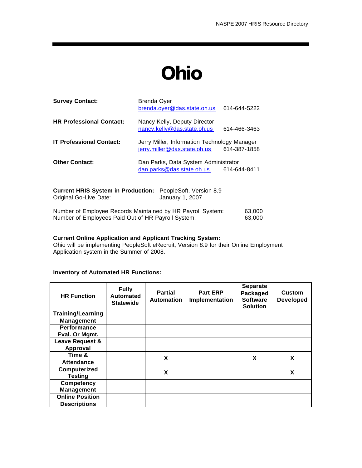## **Ohio**

| <b>Survey Contact:</b>          | Brenda Oyer<br>brenda.oyer@das.state.oh.us                                   | 614-644-5222 |
|---------------------------------|------------------------------------------------------------------------------|--------------|
| <b>HR Professional Contact:</b> | Nancy Kelly, Deputy Director<br>nancy.kelly@das.state.oh.us                  | 614-466-3463 |
| <b>IT Professional Contact:</b> | Jerry Miller, Information Technology Manager<br>jerry.miller@das.state.oh.us | 614-387-1858 |
| <b>Other Contact:</b>           | Dan Parks, Data System Administrator<br>dan.parks@das.state.oh.us            | 614-644-8411 |
|                                 |                                                                              |              |

| <b>Current HRIS System in Production:</b> PeopleSoft, Version 8.9<br>Original Go-Live Date:                       | January 1, 2007 |                  |
|-------------------------------------------------------------------------------------------------------------------|-----------------|------------------|
| Number of Employee Records Maintained by HR Payroll System:<br>Number of Employees Paid Out of HR Payroll System: |                 | 63.000<br>63.000 |

#### **Current Online Application and Applicant Tracking System:**

Ohio will be implementing PeopleSoft eRecruit, Version 8.9 for their Online Employment Application system in the Summer of 2008.

| <b>HR Function</b>       | <b>Fully</b><br><b>Automated</b><br><b>Statewide</b> | <b>Partial</b><br><b>Automation</b> | <b>Part ERP</b><br>Implementation | <b>Separate</b><br>Packaged<br><b>Software</b><br><b>Solution</b> | Custom<br><b>Developed</b> |
|--------------------------|------------------------------------------------------|-------------------------------------|-----------------------------------|-------------------------------------------------------------------|----------------------------|
| <b>Training/Learning</b> |                                                      |                                     |                                   |                                                                   |                            |
| <b>Management</b>        |                                                      |                                     |                                   |                                                                   |                            |
| <b>Performance</b>       |                                                      |                                     |                                   |                                                                   |                            |
| Eval. Or Mgmt.           |                                                      |                                     |                                   |                                                                   |                            |
| Leave Request &          |                                                      |                                     |                                   |                                                                   |                            |
| Approval                 |                                                      |                                     |                                   |                                                                   |                            |
| Time &                   |                                                      | X                                   |                                   | X                                                                 | X                          |
| <b>Attendance</b>        |                                                      |                                     |                                   |                                                                   |                            |
| Computerized             |                                                      | X                                   |                                   |                                                                   | X                          |
| <b>Testing</b>           |                                                      |                                     |                                   |                                                                   |                            |
| <b>Competency</b>        |                                                      |                                     |                                   |                                                                   |                            |
| <b>Management</b>        |                                                      |                                     |                                   |                                                                   |                            |
| <b>Online Position</b>   |                                                      |                                     |                                   |                                                                   |                            |
| <b>Descriptions</b>      |                                                      |                                     |                                   |                                                                   |                            |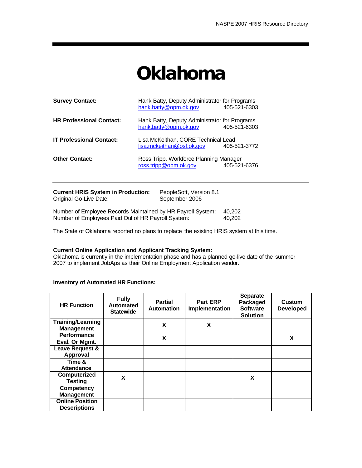# **Oklahoma**

| <b>Survey Contact:</b>          | Hank Batty, Deputy Administrator for Programs<br>hank.batty@opm.ok.gov | 405-521-6303 |
|---------------------------------|------------------------------------------------------------------------|--------------|
| <b>HR Professional Contact:</b> | Hank Batty, Deputy Administrator for Programs<br>hank.batty@opm.ok.gov | 405-521-6303 |
| <b>IT Professional Contact:</b> | Lisa McKeithan, CORE Technical Lead<br>lisa.mckeithan@osf.ok.gov       | 405-521-3772 |
| <b>Other Contact:</b>           | Ross Tripp, Workforce Planning Manager<br>ross.tripp@opm.ok.gov        | 405-521-6376 |

| <b>Current HRIS System in Production:</b>                                     | PeopleSoft, Version 8.1 |  |
|-------------------------------------------------------------------------------|-------------------------|--|
| Original Go-Live Date:                                                        | September 2006          |  |
| Nicostron of Econolation - Diamonda Materials and total ID-District October - |                         |  |

Number of Employee Records Maintained by HR Payroll System: 40,202 Number of Employees Paid Out of HR Payroll System: 40,202

The State of Oklahoma reported no plans to replace the existing HRIS system at this time.

#### **Current Online Application and Applicant Tracking System:**

Oklahoma is currently in the implementation phase and has a planned go-live date of the summer 2007 to implement JobAps as their Online Employment Application vendor.

| <b>HR Function</b>       | <b>Fully</b><br><b>Automated</b><br><b>Statewide</b> | <b>Partial</b><br><b>Automation</b> | <b>Part ERP</b><br>Implementation | <b>Separate</b><br>Packaged<br><b>Software</b><br><b>Solution</b> | <b>Custom</b><br><b>Developed</b> |
|--------------------------|------------------------------------------------------|-------------------------------------|-----------------------------------|-------------------------------------------------------------------|-----------------------------------|
| <b>Training/Learning</b> |                                                      | X                                   | X                                 |                                                                   |                                   |
| <b>Management</b>        |                                                      |                                     |                                   |                                                                   |                                   |
| <b>Performance</b>       |                                                      | X                                   |                                   |                                                                   | X                                 |
| Eval. Or Mgmt.           |                                                      |                                     |                                   |                                                                   |                                   |
| Leave Request &          |                                                      |                                     |                                   |                                                                   |                                   |
| Approval                 |                                                      |                                     |                                   |                                                                   |                                   |
| Time &                   |                                                      |                                     |                                   |                                                                   |                                   |
| <b>Attendance</b>        |                                                      |                                     |                                   |                                                                   |                                   |
| Computerized             | X                                                    |                                     |                                   | X                                                                 |                                   |
| <b>Testing</b>           |                                                      |                                     |                                   |                                                                   |                                   |
| <b>Competency</b>        |                                                      |                                     |                                   |                                                                   |                                   |
| <b>Management</b>        |                                                      |                                     |                                   |                                                                   |                                   |
| <b>Online Position</b>   |                                                      |                                     |                                   |                                                                   |                                   |
| <b>Descriptions</b>      |                                                      |                                     |                                   |                                                                   |                                   |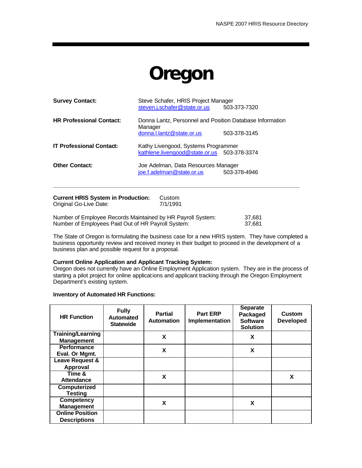## **Oregon**

| <b>Survey Contact:</b>          | Steve Schafer, HRIS Project Manager<br>steven.j.schafer@state.or.us<br>503-373-7320                              |
|---------------------------------|------------------------------------------------------------------------------------------------------------------|
| <b>HR Professional Contact:</b> | Donna Lantz, Personnel and Position Database Information<br>Manager<br>donna.l.lantz@state.or.us<br>503-378-3145 |
| <b>IT Professional Contact:</b> | Kathy Livengood, Systems Programmer<br>kathlene.livengood@state.or.us 503-378-3374                               |
| <b>Other Contact:</b>           | Joe Adelman, Data Resources Manager<br>joe.f.adelman@state.or.us<br>503-378-4946                                 |
|                                 |                                                                                                                  |

**Current HRIS System in Production:** Custom<br>Original Go-Live Date: 7/1/1991 Original Go-Live Date:

Number of Employee Records Maintained by HR Payroll System: 37,681<br>Number of Employees Paid Out of HR Payroll System: 37,681 Number of Employees Paid Out of HR Payroll System:

The State of Oregon is formulating the business case for a new HRIS system. They have completed a business opportunity review and received money in their budget to proceed in the development of a business plan and possible request for a proposal.

#### **Current Online Application and Applicant Tracking System:**

Oregon does not currently have an Online Employment Application system. They are in the process of starting a pilot project for online applications and applicant tracking through the Oregon Employment Department's existing system.

| <b>HR Function</b>       | <b>Fully</b><br><b>Automated</b><br><b>Statewide</b> | <b>Partial</b><br><b>Automation</b> | <b>Part ERP</b><br>Implementation | <b>Separate</b><br>Packaged<br><b>Software</b><br><b>Solution</b> | <b>Custom</b><br><b>Developed</b> |
|--------------------------|------------------------------------------------------|-------------------------------------|-----------------------------------|-------------------------------------------------------------------|-----------------------------------|
| <b>Training/Learning</b> |                                                      | X                                   |                                   | X                                                                 |                                   |
| <b>Management</b>        |                                                      |                                     |                                   |                                                                   |                                   |
| <b>Performance</b>       |                                                      | X                                   |                                   | X                                                                 |                                   |
| Eval. Or Mgmt.           |                                                      |                                     |                                   |                                                                   |                                   |
| Leave Request &          |                                                      |                                     |                                   |                                                                   |                                   |
| <b>Approval</b>          |                                                      |                                     |                                   |                                                                   |                                   |
| Time &                   |                                                      | X                                   |                                   |                                                                   | X                                 |
| Attendance               |                                                      |                                     |                                   |                                                                   |                                   |
| Computerized             |                                                      |                                     |                                   |                                                                   |                                   |
| <b>Testing</b>           |                                                      |                                     |                                   |                                                                   |                                   |
| <b>Competency</b>        |                                                      | X                                   |                                   | X                                                                 |                                   |
| <b>Management</b>        |                                                      |                                     |                                   |                                                                   |                                   |
| <b>Online Position</b>   |                                                      |                                     |                                   |                                                                   |                                   |
| <b>Descriptions</b>      |                                                      |                                     |                                   |                                                                   |                                   |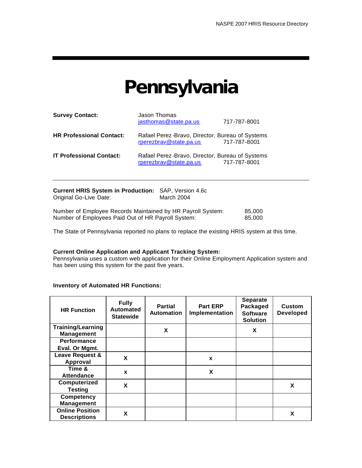### **Pennsylvania**

| <b>Survey Contact:</b>          | Jason Thomas<br>jasthomas@state.pa.us                                     | 717-787-8001 |
|---------------------------------|---------------------------------------------------------------------------|--------------|
| <b>HR Professional Contact:</b> | Rafael Perez-Bravo, Director, Bureau of Systems<br>rperezbrav@state.pa.us | 717-787-8001 |
| <b>IT Professional Contact:</b> | Rafael Perez-Bravo, Director, Bureau of Systems<br>rperezbrav@state.pa.us | 717-787-8001 |

| <b>Current HRIS System in Production: SAP, Version 4.6c</b> |            |        |
|-------------------------------------------------------------|------------|--------|
| Original Go-Live Date:                                      | March 2004 |        |
|                                                             |            |        |
| Number of Employee Records Maintained by HR Payroll System: |            | 85.000 |
| Number of Employees Paid Out of HR Payroll System:          |            | 85.000 |

The State of Pennsylvania reported no plans to replace the existing HRIS system at this time.

#### **Current Online Application and Applicant Tracking System:**

Pennsylvania uses a custom web application for their Online Employment Application system and has been using this system for the past five years.

| <b>HR Function</b>                            | <b>Fully</b><br><b>Automated</b><br><b>Statewide</b> | <b>Partial</b><br><b>Automation</b> | <b>Part ERP</b><br>Implementation | <b>Separate</b><br>Packaged<br><b>Software</b><br><b>Solution</b> | Custom<br><b>Developed</b> |
|-----------------------------------------------|------------------------------------------------------|-------------------------------------|-----------------------------------|-------------------------------------------------------------------|----------------------------|
| <b>Training/Learning</b><br><b>Management</b> |                                                      | X                                   |                                   | X                                                                 |                            |
| <b>Performance</b>                            |                                                      |                                     |                                   |                                                                   |                            |
| Eval. Or Mgmt.                                |                                                      |                                     |                                   |                                                                   |                            |
| Leave Request &<br>Approval                   | X                                                    |                                     | X                                 |                                                                   |                            |
| Time &<br><b>Attendance</b>                   | X                                                    |                                     | X                                 |                                                                   |                            |
| Computerized<br><b>Testing</b>                | X                                                    |                                     |                                   |                                                                   | X                          |
| <b>Competency</b><br><b>Management</b>        |                                                      |                                     |                                   |                                                                   |                            |
| <b>Online Position</b><br><b>Descriptions</b> | X                                                    |                                     |                                   |                                                                   | X                          |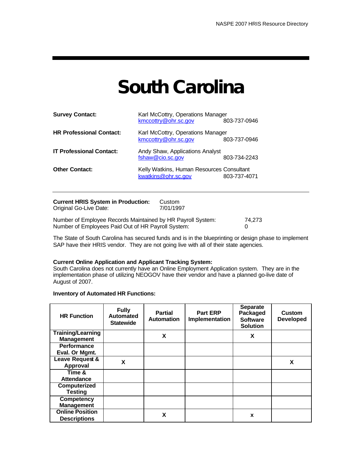## **South Carolina**

| <b>Survey Contact:</b>          | Karl McCottry, Operations Manager<br>kmccottry@ohr.sc.gov<br>803-737-0946 |              |  |  |
|---------------------------------|---------------------------------------------------------------------------|--------------|--|--|
| <b>HR Professional Contact:</b> | Karl McCottry, Operations Manager<br>kmccottry@ohr.sc.gov                 | 803-737-0946 |  |  |
| <b>IT Professional Contact:</b> | Andy Shaw, Applications Analyst<br>fshaw@cio.sc.gov                       | 803-734-2243 |  |  |
| <b>Other Contact:</b>           | Kelly Watkins, Human Resources Consultant<br>kwatkins@ohr.sc.gov          | 803-737-4071 |  |  |

**Current HRIS System in Production:** Custom<br>Original Go-Live Date: 7/01/1997 Original Go-Live Date:

Number of Employee Records Maintained by HR Payroll System: 74,273 Number of Employees Paid Out of HR Payroll System: 0

The State of South Carolina has secured funds and is in the blueprinting or design phase to implement SAP have their HRIS vendor. They are not going live with all of their state agencies.

#### **Current Online Application and Applicant Tracking System:**

South Carolina does not currently have an Online Employment Application system. They are in the implementation phase of utilizing NEOGOV have their vendor and have a planned go-live date of August of 2007.

| <b>HR Function</b>                            | <b>Fully</b><br>Automated<br><b>Statewide</b> | <b>Partial</b><br><b>Automation</b> | <b>Part ERP</b><br>Implementation | <b>Separate</b><br>Packaged<br><b>Software</b><br><b>Solution</b> | <b>Custom</b><br><b>Developed</b> |
|-----------------------------------------------|-----------------------------------------------|-------------------------------------|-----------------------------------|-------------------------------------------------------------------|-----------------------------------|
| <b>Training/Learning</b><br><b>Management</b> |                                               | X                                   |                                   | X                                                                 |                                   |
| <b>Performance</b>                            |                                               |                                     |                                   |                                                                   |                                   |
| Eval. Or Mgmt.                                |                                               |                                     |                                   |                                                                   |                                   |
| Leave Request &                               | X                                             |                                     |                                   |                                                                   | x                                 |
| Approval                                      |                                               |                                     |                                   |                                                                   |                                   |
| Time &                                        |                                               |                                     |                                   |                                                                   |                                   |
| Attendance                                    |                                               |                                     |                                   |                                                                   |                                   |
| Computerized                                  |                                               |                                     |                                   |                                                                   |                                   |
| <b>Testing</b>                                |                                               |                                     |                                   |                                                                   |                                   |
| <b>Competency</b>                             |                                               |                                     |                                   |                                                                   |                                   |
| <b>Management</b>                             |                                               |                                     |                                   |                                                                   |                                   |
| <b>Online Position</b>                        |                                               | X                                   |                                   | x                                                                 |                                   |
| <b>Descriptions</b>                           |                                               |                                     |                                   |                                                                   |                                   |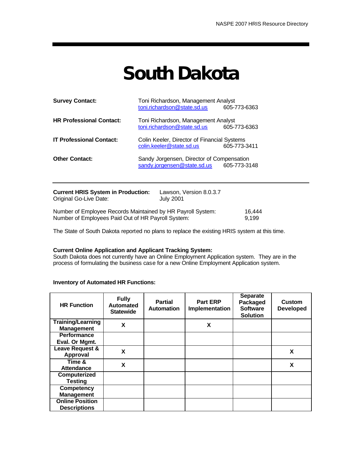## **South Dakota**

| <b>Survey Contact:</b>          | Toni Richardson, Management Analyst<br>toni.richardson@state.sd.us       | 605-773-6363 |
|---------------------------------|--------------------------------------------------------------------------|--------------|
| <b>HR Professional Contact:</b> | Toni Richardson, Management Analyst<br>toni.richardson@state.sd.us       | 605-773-6363 |
| <b>IT Professional Contact:</b> | Colin Keeler, Director of Financial Systems<br>colin.keeler@state.sd.us  | 605-773-3411 |
| <b>Other Contact:</b>           | Sandy Jorgensen, Director of Compensation<br>sandy.jorgensen@state.sd.us | 605-773-3148 |
|                                 |                                                                          |              |

| <b>Current HRIS System in Production:</b><br>Original Go-Live Date:                                               | Lawson, Version 8.0.3.7<br><b>July 2001</b> |                 |
|-------------------------------------------------------------------------------------------------------------------|---------------------------------------------|-----------------|
| Number of Employee Records Maintained by HR Payroll System:<br>Number of Employees Paid Out of HR Payroll System: |                                             | 16.444<br>9.199 |

The State of South Dakota reported no plans to replace the existing HRIS system at this time.

#### **Current Online Application and Applicant Tracking System:**

South Dakota does not currently have an Online Employment Application system. They are in the process of formulating the business case for a new Online Employment Application system.

| <b>HR Function</b>                            | <b>Fully</b><br>Automated<br><b>Statewide</b> | <b>Partial</b><br><b>Automation</b> | <b>Part ERP</b><br>Implementation | <b>Separate</b><br>Packaged<br><b>Software</b><br><b>Solution</b> | <b>Custom</b><br><b>Developed</b> |
|-----------------------------------------------|-----------------------------------------------|-------------------------------------|-----------------------------------|-------------------------------------------------------------------|-----------------------------------|
| <b>Training/Learning</b><br><b>Management</b> | X                                             |                                     | X                                 |                                                                   |                                   |
| <b>Performance</b><br>Eval. Or Mgmt.          |                                               |                                     |                                   |                                                                   |                                   |
| Leave Request &<br><b>Approval</b>            | X                                             |                                     |                                   |                                                                   | X                                 |
| Time &<br><b>Attendance</b>                   | X                                             |                                     |                                   |                                                                   | X                                 |
| Computerized<br><b>Testing</b>                |                                               |                                     |                                   |                                                                   |                                   |
| <b>Competency</b><br><b>Management</b>        |                                               |                                     |                                   |                                                                   |                                   |
| <b>Online Position</b><br><b>Descriptions</b> |                                               |                                     |                                   |                                                                   |                                   |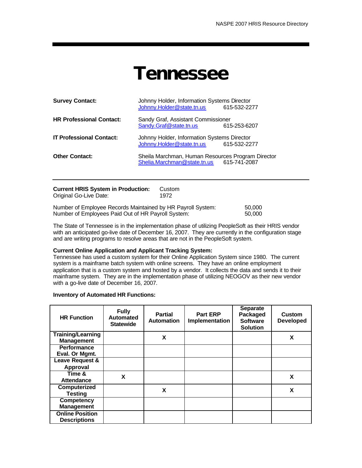### **Tennessee**

| <b>Survey Contact:</b>          | Johnny Holder, Information Systems Director<br>Johnny.Holder@state.tn.us                      | 615-532-2277 |
|---------------------------------|-----------------------------------------------------------------------------------------------|--------------|
| <b>HR Professional Contact:</b> | Sandy Graf, Assistant Commissioner<br>Sandy.Graf@state.tn.us                                  | 615-253-6207 |
| <b>IT Professional Contact:</b> | Johnny Holder, Information Systems Director<br>Johnny.Holder@state.tn.us                      | 615-532-2277 |
| <b>Other Contact:</b>           | Sheila Marchman, Human Resources Program Director<br>Shelia.Marchman@state.tn.us 615-741-2087 |              |
|                                 |                                                                                               |              |

| <b>Current HRIS System in Production:</b><br>Original Go-Live Date:                                               | Custom<br>1972 |                  |
|-------------------------------------------------------------------------------------------------------------------|----------------|------------------|
| Number of Employee Records Maintained by HR Payroll System:<br>Number of Employees Paid Out of HR Payroll System: |                | 50,000<br>50,000 |

The State of Tennessee is in the implementation phase of utilizing PeopleSoft as their HRIS vendor with an anticipated go-live date of December 16, 2007. They are currently in the configuration stage and are writing programs to resolve areas that are not in the PeopleSoft system.

#### **Current Online Application and Applicant Tracking System:**

Tennessee has used a custom system for their Online Application System since 1980. The current system is a mainframe batch system with online screens. They have an online employment application that is a custom system and hosted by a vendor. It collects the data and sends it to their mainframe system. They are in the implementation phase of utilizing NEOGOV as their new vendor with a go-live date of December 16, 2007.

| <b>HR Function</b>                            | <b>Fully</b><br><b>Automated</b><br><b>Statewide</b> | <b>Partial</b><br><b>Automation</b> | <b>Part ERP</b><br>Implementation | <b>Separate</b><br>Packaged<br><b>Software</b><br><b>Solution</b> | <b>Custom</b><br><b>Developed</b> |
|-----------------------------------------------|------------------------------------------------------|-------------------------------------|-----------------------------------|-------------------------------------------------------------------|-----------------------------------|
| <b>Training/Learning</b><br><b>Management</b> |                                                      | X                                   |                                   |                                                                   | X                                 |
| <b>Performance</b><br>Eval. Or Mgmt.          |                                                      |                                     |                                   |                                                                   |                                   |
| Leave Request &<br>Approval                   |                                                      |                                     |                                   |                                                                   |                                   |
| Time &<br><b>Attendance</b>                   | X                                                    |                                     |                                   |                                                                   | x                                 |
| Computerized<br><b>Testing</b>                |                                                      | X                                   |                                   |                                                                   | X                                 |
| <b>Competency</b><br><b>Management</b>        |                                                      |                                     |                                   |                                                                   |                                   |
| <b>Online Position</b><br><b>Descriptions</b> |                                                      |                                     |                                   |                                                                   |                                   |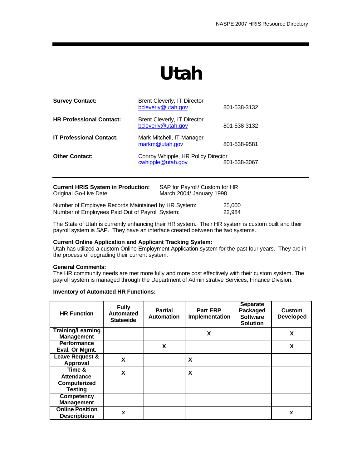# **Utah**

| <b>Survey Contact:</b>              | Brent Cleverly, IT Director<br>bcleverly@utah.gov       | 801-538-3132 |
|-------------------------------------|---------------------------------------------------------|--------------|
| <b>HR Professional Contact:</b>     | Brent Cleverly, IT Director<br>bcleverly@utah.gov       | 801-538-3132 |
| <b>IT Professional Contact:</b>     | Mark Mitchell, IT Manager<br>markm@utah.gov             | 801-538-9581 |
| <b>Other Contact:</b>               | Conroy Whipple, HR Policy Director<br>cwhipple@utah.gov | 801-538-3067 |
| Current LIDIO Custom in Draduation. | CAD for Dougall Custom for LID                          |              |

| Current HRIS System in Production:<br>Original Go-Live Date:                                           | SAP for Payroll/ Custom for HR<br>March 2004/ January 1998 |                  |
|--------------------------------------------------------------------------------------------------------|------------------------------------------------------------|------------------|
| Number of Employee Records Maintained by HR System:<br>Number of Employees Paid Out of Payroll System: |                                                            | 25,000<br>22.984 |

The State of Utah is currently enhancing their HR system. Their HR system is custom built and their payroll system is SAP. They have an interface created between the two systems.

#### **Current Online Application and Applicant Tracking System:**

Utah has utilized a custom Online Employment Application system for the past four years. They are in the process of upgrading their current system.

#### **General Comments:**

The HR community needs are met more fully and more cost effectively with their custom system. The payroll system is managed through the Department of Administrative Services, Finance Division.

| <b>HR Function</b>                            | <b>Fully</b><br>Automated<br><b>Statewide</b> | <b>Partial</b><br><b>Automation</b> | <b>Part ERP</b><br>Implementation | <b>Separate</b><br>Packaged<br><b>Software</b><br><b>Solution</b> | <b>Custom</b><br><b>Developed</b> |
|-----------------------------------------------|-----------------------------------------------|-------------------------------------|-----------------------------------|-------------------------------------------------------------------|-----------------------------------|
| <b>Training/Learning</b><br><b>Management</b> |                                               |                                     | X                                 |                                                                   | X                                 |
| <b>Performance</b><br>Eval. Or Mgmt.          |                                               | X                                   |                                   |                                                                   | X                                 |
| Leave Request &<br>Approval                   | X                                             |                                     | X                                 |                                                                   |                                   |
| Time &<br>Attendance                          | X                                             |                                     | X                                 |                                                                   |                                   |
| Computerized<br><b>Testing</b>                |                                               |                                     |                                   |                                                                   |                                   |
| <b>Competency</b><br><b>Management</b>        |                                               |                                     |                                   |                                                                   |                                   |
| <b>Online Position</b><br><b>Descriptions</b> | X                                             |                                     |                                   |                                                                   | X                                 |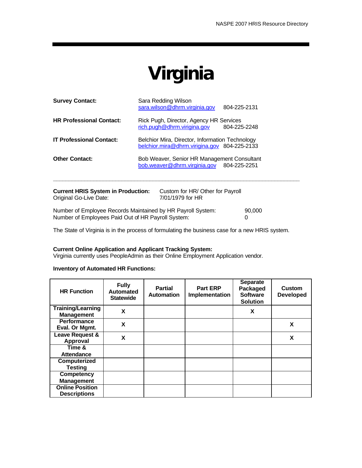# **Virginia**

| <b>Current HRIS System in Production:</b><br>Original Go-Live Date: | Custom for HR/ Other for Payroll<br>7/01/1979 for HR                                            |  |
|---------------------------------------------------------------------|-------------------------------------------------------------------------------------------------|--|
| <b>Other Contact:</b>                                               | Bob Weaver, Senior HR Management Consultant<br>bob.weaver@dhrm.virginia.gov 804-225-2251        |  |
| <b>IT Professional Contact:</b>                                     | Belchior Mira, Director, Information Technology<br>belchior.mira@dhrm.virigina.gov 804-225-2133 |  |
| <b>HR Professional Contact:</b>                                     | Rick Pugh, Director, Agency HR Services<br>rich.pugh@dhrm.virigina.gov<br>804-225-2248          |  |
| <b>Survey Contact:</b>                                              | Sara Redding Wilson<br>sara.wilson@dhrm.virginia.gov<br>804-225-2131                            |  |

Number of Employee Records Maintained by HR Payroll System: 90,000 Number of Employees Paid Out of HR Payroll System: 0

The State of Virginia is in the process of formulating the business case for a new HRIS system.

#### **Current Online Application and Applicant Tracking System:**

Virginia currently uses PeopleAdmin as their Online Employment Application vendor.

| <b>HR Function</b>                            | <b>Fully</b><br><b>Automated</b><br><b>Statewide</b> | <b>Partial</b><br><b>Automation</b> | <b>Part ERP</b><br>Implementation | <b>Separate</b><br>Packaged<br><b>Software</b><br><b>Solution</b> | Custom<br><b>Developed</b> |
|-----------------------------------------------|------------------------------------------------------|-------------------------------------|-----------------------------------|-------------------------------------------------------------------|----------------------------|
| <b>Training/Learning</b><br><b>Management</b> | X                                                    |                                     |                                   | X                                                                 |                            |
| <b>Performance</b><br>Eval. Or Mgmt.          | X                                                    |                                     |                                   |                                                                   | X                          |
| Leave Request &<br>Approval                   | X                                                    |                                     |                                   |                                                                   | X                          |
| Time &<br>Attendance                          |                                                      |                                     |                                   |                                                                   |                            |
| Computerized<br><b>Testing</b>                |                                                      |                                     |                                   |                                                                   |                            |
| <b>Competency</b><br><b>Management</b>        |                                                      |                                     |                                   |                                                                   |                            |
| <b>Online Position</b><br><b>Descriptions</b> |                                                      |                                     |                                   |                                                                   |                            |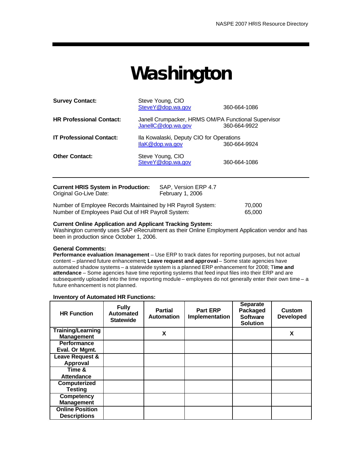## **Washington**

| <b>Survey Contact:</b>                                              | Steve Young, CIO<br>SteveY@dop.wa.gov                                     | 360-664-1086 |  |
|---------------------------------------------------------------------|---------------------------------------------------------------------------|--------------|--|
| <b>HR Professional Contact:</b>                                     | Janell Crumpacker, HRMS OM/PA Functional Supervisor<br>JanellC@dop.wa.gov | 360-664-9922 |  |
| <b>IT Professional Contact:</b>                                     | Ila Kowalaski, Deputy CIO for Operations<br>$llaK@$ dop.wa.gov            | 360-664-9924 |  |
| <b>Other Contact:</b>                                               | Steve Young, CIO<br>SteveY@dop.wa.gov                                     | 360-664-1086 |  |
| <b>Current HRIS System in Production:</b><br>Original Go-Live Date: | SAP, Version ERP 4.7<br>February 1, 2006                                  |              |  |
|                                                                     | Number of Employee Becards Mointained by HD Dourall Cystem:               | 70.000       |  |

Number of Employee Records Maintained by HR Payroll System: 70,000 Number of Employees Paid Out of HR Payroll System: 65,000

#### **Current Online Application and Applicant Tracking System:**

Washington currently uses SAP eRecruitment as their Online Employment Application vendor and has been in production since October 1, 2006.

#### **General Comments:**

**Performance evaluation /management** – Use ERP to track dates for reporting purposes, but not actual content – planned future enhancement**; Leave request and approval** – Some state agencies have automated shadow systems – a statewide system is a planned ERP enhancement for 2008; T**ime and attendance** – Some agencies have time reporting systems that feed input files into their ERP and are subsequently uploaded into the time reporting module – employees do not generally enter their own time – a future enhancement is not planned.

| <b>HR Function</b>                            | <b>Fully</b><br><b>Automated</b><br><b>Statewide</b> | <b>Partial</b><br><b>Automation</b> | <b>Part ERP</b><br>Implementation | <b>Separate</b><br>Packaged<br><b>Software</b><br><b>Solution</b> | <b>Custom</b><br><b>Developed</b> |
|-----------------------------------------------|------------------------------------------------------|-------------------------------------|-----------------------------------|-------------------------------------------------------------------|-----------------------------------|
| <b>Training/Learning</b><br><b>Management</b> |                                                      | X                                   |                                   |                                                                   | X                                 |
| <b>Performance</b>                            |                                                      |                                     |                                   |                                                                   |                                   |
| Eval. Or Mgmt.                                |                                                      |                                     |                                   |                                                                   |                                   |
| Leave Request &                               |                                                      |                                     |                                   |                                                                   |                                   |
| Approval                                      |                                                      |                                     |                                   |                                                                   |                                   |
| Time &                                        |                                                      |                                     |                                   |                                                                   |                                   |
| <b>Attendance</b>                             |                                                      |                                     |                                   |                                                                   |                                   |
| Computerized                                  |                                                      |                                     |                                   |                                                                   |                                   |
| <b>Testing</b>                                |                                                      |                                     |                                   |                                                                   |                                   |
| <b>Competency</b>                             |                                                      |                                     |                                   |                                                                   |                                   |
| <b>Management</b>                             |                                                      |                                     |                                   |                                                                   |                                   |
| <b>Online Position</b>                        |                                                      |                                     |                                   |                                                                   |                                   |
| <b>Descriptions</b>                           |                                                      |                                     |                                   |                                                                   |                                   |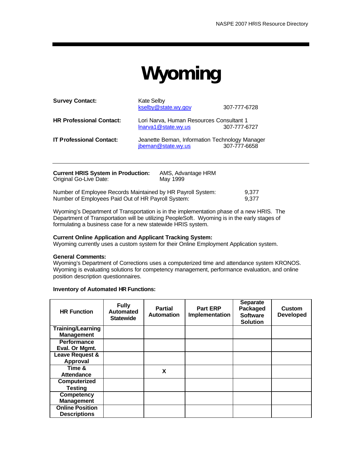# **Wyoming**

| <b>Survey Contact:</b>          | <b>Kate Selby</b><br>kselby@state.wy.gov                             | 307-777-6728 |
|---------------------------------|----------------------------------------------------------------------|--------------|
| <b>HR Professional Contact:</b> | Lori Narva, Human Resources Consultant 1<br>Inarva1@state.wy.us      | 307-777-6727 |
| <b>IT Professional Contact:</b> | Jeanette Beman, Information Technology Manager<br>jbeman@state.wy.us | 307-777-6658 |

| <b>Current HRIS System in Production:</b><br>Original Go-Live Date: | AMS, Advantage HRM<br>May 1999 |       |
|---------------------------------------------------------------------|--------------------------------|-------|
| Number of Employee Records Maintained by HR Payroll System:         |                                | 9.377 |
| Number of Employees Paid Out of HR Payroll System:                  | 9.377                          |       |

Wyoming's Department of Transportation is in the implementation phase of a new HRIS. The Department of Transportation will be utilizing PeopleSoft. Wyoming is in the early stages of formulating a business case for a new statewide HRIS system.

#### **Current Online Application and Applicant Tracking System:**

Wyoming currently uses a custom system for their Online Employment Application system.

#### **General Comments:**

Wyoming's Department of Corrections uses a computerized time and attendance system KRONOS. Wyoming is evaluating solutions for competency management, performance evaluation, and online position description questionnaires.

| <b>HR Function</b>                                | <b>Fully</b><br><b>Automated</b><br><b>Statewide</b> | <b>Partial</b><br><b>Automation</b> | <b>Part ERP</b><br><b>Implementation</b> | <b>Separate</b><br>Packaged<br><b>Software</b><br><b>Solution</b> | <b>Custom</b><br><b>Developed</b> |
|---------------------------------------------------|------------------------------------------------------|-------------------------------------|------------------------------------------|-------------------------------------------------------------------|-----------------------------------|
| <b>Training/Learning</b><br><b>Management</b>     |                                                      |                                     |                                          |                                                                   |                                   |
| <b>Performance</b><br>Eval. Or Mgmt.              |                                                      |                                     |                                          |                                                                   |                                   |
| Leave Request &<br>Approval                       |                                                      |                                     |                                          |                                                                   |                                   |
| Time $\overline{\mathbf{g}}$<br><b>Attendance</b> |                                                      | X                                   |                                          |                                                                   |                                   |
| Computerized<br><b>Testing</b>                    |                                                      |                                     |                                          |                                                                   |                                   |
| <b>Competency</b><br><b>Management</b>            |                                                      |                                     |                                          |                                                                   |                                   |
| <b>Online Position</b><br><b>Descriptions</b>     |                                                      |                                     |                                          |                                                                   |                                   |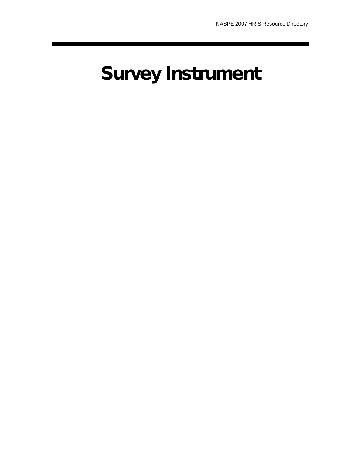# **Survey Instrument**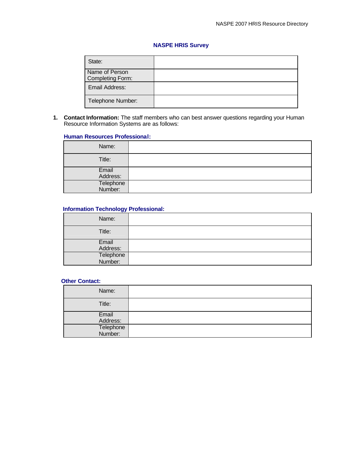#### **NASPE HRIS Survey**

| State:                             |  |
|------------------------------------|--|
| Name of Person<br>Completing Form: |  |
| Email Address:                     |  |
| Telephone Number:                  |  |

**1. Contact Information:** The staff members who can best answer questions regarding your Human Resource Information Systems are as follows:

#### **Human Resources Professional:**

| Name:                |  |
|----------------------|--|
| Title:               |  |
| Email<br>Address:    |  |
| Telephone<br>Number: |  |

#### **Information Technology Professional:**

| Name:                |  |
|----------------------|--|
| Title:               |  |
| Email<br>Address:    |  |
|                      |  |
| Telephone<br>Number: |  |
|                      |  |

#### **Other Contact:**

| Name:                |  |
|----------------------|--|
| Title:               |  |
| Email                |  |
| Address:             |  |
| Telephone<br>Number: |  |
|                      |  |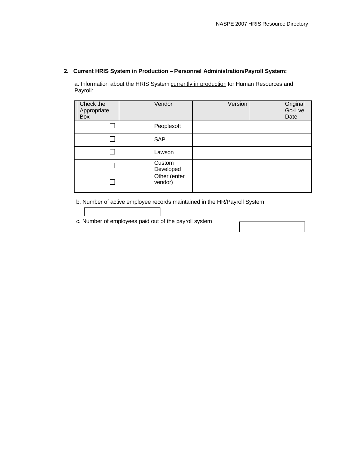#### **2. Current HRIS System in Production – Personnel Administration/Payroll System:**

a. Information about the HRIS System currently in production for Human Resources and Payroll:

| Check the<br>Appropriate<br>Box | Vendor                  | Version | Original<br>Go-Live<br>Date |
|---------------------------------|-------------------------|---------|-----------------------------|
|                                 | Peoplesoft              |         |                             |
|                                 | <b>SAP</b>              |         |                             |
|                                 | Lawson                  |         |                             |
|                                 | Custom<br>Developed     |         |                             |
|                                 | Other (enter<br>vendor) |         |                             |

b. Number of active employee records maintained in the HR/Payroll System

c. Number of employees paid out of the payroll system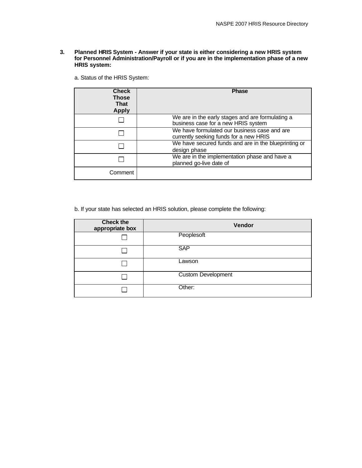- **3. Planned HRIS System Answer if your state is either considering a new HRIS system for Personnel Administration/Payroll or if you are in the implementation phase of a new HRIS system:**
	- a. Status of the HRIS System:

| <b>Check</b><br>Those<br>That<br><b>Apply</b> | <b>Phase</b>                                                                            |
|-----------------------------------------------|-----------------------------------------------------------------------------------------|
|                                               | We are in the early stages and are formulating a<br>business case for a new HRIS system |
|                                               | We have formulated our business case and are<br>currently seeking funds for a new HRIS  |
|                                               | We have secured funds and are in the blueprinting or<br>design phase                    |
|                                               | We are in the implementation phase and have a<br>planned go-live date of                |
| Comment                                       |                                                                                         |

b. If your state has selected an HRIS solution, please complete the following:

| <b>Check the</b><br>appropriate box | Vendor                    |
|-------------------------------------|---------------------------|
|                                     | Peoplesoft                |
|                                     | <b>SAP</b>                |
|                                     | Lawson                    |
|                                     | <b>Custom Development</b> |
|                                     | Other:                    |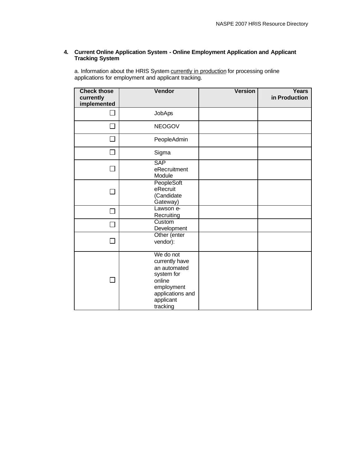#### **4. Current Online Application System - Online Employment Application and Applicant Tracking System**

a. Information about the HRIS System currently in production for processing online applications for employment and applicant tracking.

| <b>Check those</b><br>currently<br>implemented | Vendor                                                                                                                         | <b>Version</b> | <b>Years</b><br>in Production |
|------------------------------------------------|--------------------------------------------------------------------------------------------------------------------------------|----------------|-------------------------------|
| $\sim$                                         | <b>JobAps</b>                                                                                                                  |                |                               |
|                                                | <b>NEOGOV</b>                                                                                                                  |                |                               |
|                                                | PeopleAdmin                                                                                                                    |                |                               |
| $\sim$                                         | Sigma                                                                                                                          |                |                               |
|                                                | <b>SAP</b><br>eRecruitment<br>Module                                                                                           |                |                               |
| $\sim$                                         | PeopleSoft<br>eRecruit<br>(Candidate<br>Gateway)                                                                               |                |                               |
| $\mathcal{L}_{\mathcal{A}}$                    | Lawson e-<br>Recruiting                                                                                                        |                |                               |
|                                                | Custom<br>Development                                                                                                          |                |                               |
|                                                | Other (enter<br>vendor):                                                                                                       |                |                               |
| $\sim$                                         | We do not<br>currently have<br>an automated<br>system for<br>online<br>employment<br>applications and<br>applicant<br>tracking |                |                               |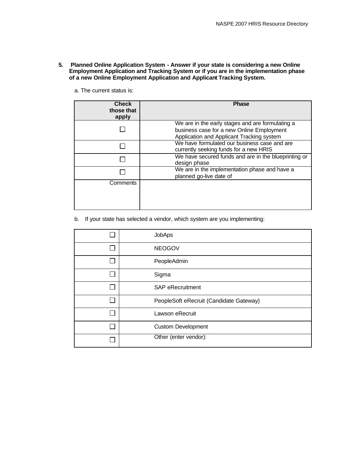- **5. Planned Online Application System Answer if your state is considering a new Online Employment Application and Tracking System or if you are in the implementation phase of a new Online Employment Application and Applicant Tracking System.**
	- a. The current status is:

| <b>Check</b><br>those that<br>apply | <b>Phase</b>                                                                                                                               |
|-------------------------------------|--------------------------------------------------------------------------------------------------------------------------------------------|
|                                     | We are in the early stages and are formulating a<br>business case for a new Online Employment<br>Application and Applicant Tracking system |
|                                     | We have formulated our business case and are<br>currently seeking funds for a new HRIS                                                     |
|                                     | We have secured funds and are in the blueprinting or<br>design phase                                                                       |
|                                     | We are in the implementation phase and have a<br>planned go-live date of                                                                   |
| Comments                            |                                                                                                                                            |

b. If your state has selected a vendor, which system are you implementing:

| JobAps                                  |
|-----------------------------------------|
| <b>NEOGOV</b>                           |
| PeopleAdmin                             |
| Sigma                                   |
| <b>SAP eRecruitment</b>                 |
| PeopleSoft eRecruit (Candidate Gateway) |
| Lawson eRecruit                         |
| <b>Custom Development</b>               |
| Other (enter vendor):                   |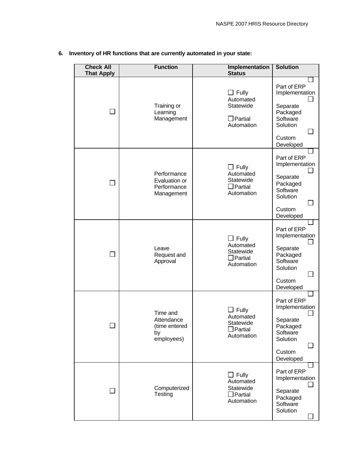| <b>Check All</b><br><b>That Apply</b> | <b>Function</b>                                             | Implementation<br><b>Status</b>                                        | <b>Solution</b>                                                                                      |
|---------------------------------------|-------------------------------------------------------------|------------------------------------------------------------------------|------------------------------------------------------------------------------------------------------|
| $\mathbf{I}$                          | Training or<br>Learning<br>Management                       | $\Box$ Fully<br>Automated<br>Statewide<br>$\Box$ Partial<br>Automation | Part of ERP<br>Implementation<br>Separate<br>Packaged<br>Software<br>Solution<br>Custom<br>Developed |
|                                       | Performance<br>Evaluation or<br>Performance<br>Management   | $\Box$ Fully<br>Automated<br>Statewide<br>$\Box$ Partial<br>Automation | Part of ERP<br>Implementation<br>Separate<br>Packaged<br>Software<br>Solution<br>Custom<br>Developed |
| <b>The State</b>                      | Leave<br>Request and<br>Approval                            | $\Box$ Fully<br>Automated<br>Statewide<br>$\Box$ Partial<br>Automation | Part of ERP<br>Implementation<br>Separate<br>Packaged<br>Software<br>Solution<br>Custom<br>Developed |
|                                       | Time and<br>Attendance<br>(time entered<br>by<br>employees) | $\Box$ Fully<br>Automated<br>Statewide<br>$\Box$ Partial<br>Automation | Part of ERP<br>Implementation<br>Separate<br>Packaged<br>Software<br>Solution<br>Custom<br>Developed |
| $\Box$                                | Computerized<br>Testing                                     | $\Box$ Fully<br>Automated<br>Statewide<br>Partial<br>Automation        | Part of ERP<br>Implementation<br>Separate<br>Packaged<br>Software<br>Solution                        |

#### **6. Inventory of HR functions that are currently automated in your state:**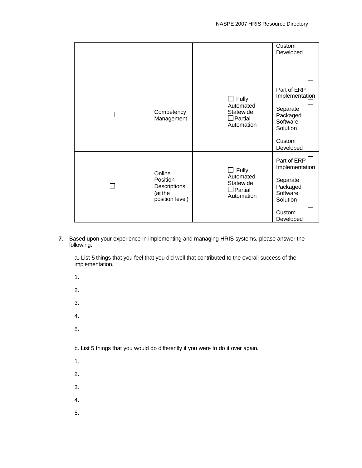|                |                                                                  |                                                                        | Custom<br>Developed                                                                                  |
|----------------|------------------------------------------------------------------|------------------------------------------------------------------------|------------------------------------------------------------------------------------------------------|
| $\blacksquare$ | Competency<br>Management                                         | $\Box$ Fully<br>Automated<br>Statewide<br>$\Box$ Partial<br>Automation | Part of ERP<br>Implementation<br>Separate<br>Packaged<br>Software<br>Solution<br>Custom<br>Developed |
| $\blacksquare$ | Online<br>Position<br>Descriptions<br>(at the<br>position level) | $\Box$ Fully<br>Automated<br>Statewide<br>$\Box$ Partial<br>Automation | Part of ERP<br>Implementation<br>Separate<br>Packaged<br>Software<br>Solution<br>Custom<br>Developed |

**7.** Based upon your experience in implementing and managing HRIS systems, please answer the following:

a. List 5 things that you feel that you did well that contributed to the overall success of the implementation.

1. 2. 3. 4. 5. b. List 5 things that you would do differently if you were to do it over again. 1. 2. 3. 4. 5.